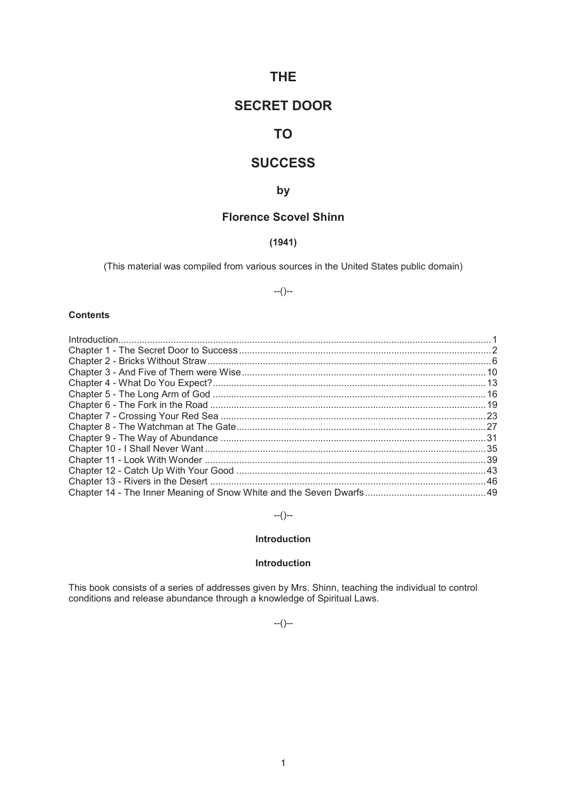# **THE**

# **SECRET DOOR**

# **TO**

# **SUCCESS**

# **by**

# **Florence Scovel Shinn**

# **(1941)**

(This material was compiled from various sources in the United States public domain)

# $-(-)$

## **Contents**

# --()--

# **Introduction**

#### **Introduction**

This book consists of a series of addresses given by Mrs. Shinn, teaching the individual to control conditions and release abundance through a knowledge of Spiritual Laws.

 $-(-)$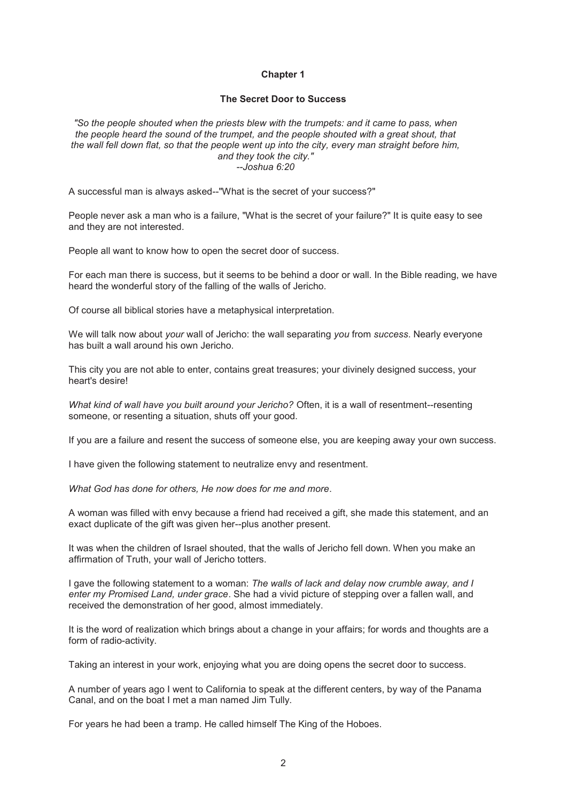#### **The Secret Door to Success**

*"So the people shouted when the priests blew with the trumpets: and it came to pass, when the people heard the sound of the trumpet, and the people shouted with a great shout, that the wall fell down flat, so that the people went up into the city, every man straight before him, and they took the city." --Joshua 6:20* 

A successful man is always asked--"What is the secret of your success?"

People never ask a man who is a failure, "What is the secret of your failure?" It is quite easy to see and they are not interested.

People all want to know how to open the secret door of success.

For each man there is success, but it seems to be behind a door or wall. In the Bible reading, we have heard the wonderful story of the falling of the walls of Jericho.

Of course all biblical stories have a metaphysical interpretation.

We will talk now about *your* wall of Jericho: the wall separating *you* from *success*. Nearly everyone has built a wall around his own Jericho.

This city you are not able to enter, contains great treasures; your divinely designed success, your heart's desire!

*What kind of wall have you built around your Jericho?* Often, it is a wall of resentment--resenting someone, or resenting a situation, shuts off your good.

If you are a failure and resent the success of someone else, you are keeping away your own success.

I have given the following statement to neutralize envy and resentment.

*What God has done for others, He now does for me and more*.

A woman was filled with envy because a friend had received a gift, she made this statement, and an exact duplicate of the gift was given her--plus another present.

It was when the children of Israel shouted, that the walls of Jericho fell down. When you make an affirmation of Truth, your wall of Jericho totters.

I gave the following statement to a woman: *The walls of lack and delay now crumble away, and I enter my Promised Land, under grace*. She had a vivid picture of stepping over a fallen wall, and received the demonstration of her good, almost immediately.

It is the word of realization which brings about a change in your affairs; for words and thoughts are a form of radio-activity.

Taking an interest in your work, enjoying what you are doing opens the secret door to success.

A number of years ago I went to California to speak at the different centers, by way of the Panama Canal, and on the boat I met a man named Jim Tully.

For years he had been a tramp. He called himself The King of the Hoboes.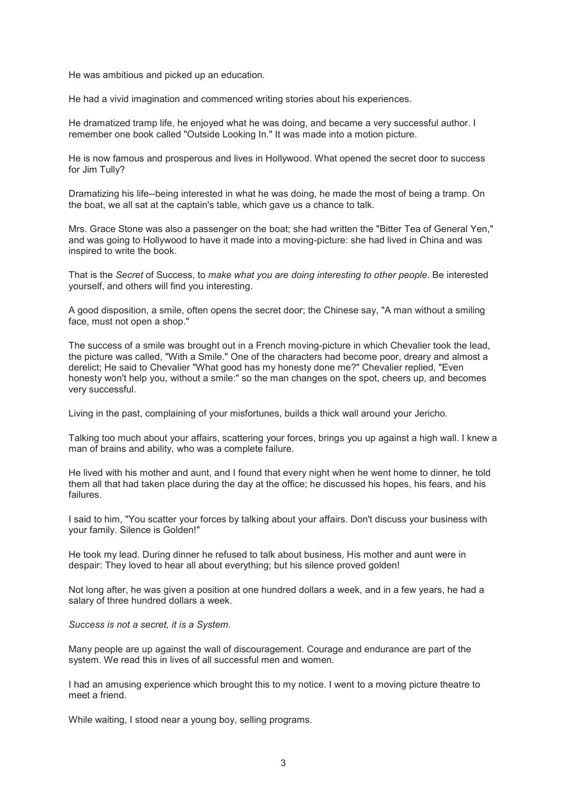He was ambitious and picked up an education.

He had a vivid imagination and commenced writing stories about his experiences.

He dramatized tramp life, he enjoyed what he was doing, and became a very successful author. I remember one book called "Outside Looking In." It was made into a motion picture.

He is now famous and prosperous and lives in Hollywood. What opened the secret door to success for Jim Tully?

Dramatizing his life--being interested in what he was doing, he made the most of being a tramp. On the boat, we all sat at the captain's table, which gave us a chance to talk.

Mrs. Grace Stone was also a passenger on the boat; she had written the "Bitter Tea of General Yen," and was going to Hollywood to have it made into a moving-picture: she had lived in China and was inspired to write the book.

That is the *Secret* of Success, to *make what you are doing interesting to other people*. Be interested yourself, and others will find you interesting.

A good disposition, a smile, often opens the secret door; the Chinese say, "A man without a smiling face, must not open a shop."

The success of a smile was brought out in a French moving-picture in which Chevalier took the lead, the picture was called, "With a Smile." One of the characters had become poor, dreary and almost a derelict; He said to Chevalier "What good has my honesty done me?" Chevalier replied, "Even honesty won't help you, without a smile:" so the man changes on the spot, cheers up, and becomes very successful.

Living in the past, complaining of your misfortunes, builds a thick wall around your Jericho.

Talking too much about your affairs, scattering your forces, brings you up against a high wall. I knew a man of brains and ability, who was a complete failure.

He lived with his mother and aunt, and I found that every night when he went home to dinner, he told them all that had taken place during the day at the office; he discussed his hopes, his fears, and his failures.

I said to him, "You scatter your forces by talking about your affairs. Don't discuss your business with your family. Silence is Golden!"

He took my lead. During dinner he refused to talk about business, His mother and aunt were in despair: They loved to hear all about everything; but his silence proved golden!

Not long after, he was given a position at one hundred dollars a week, and in a few years, he had a salary of three hundred dollars a week.

*Success is not a secret, it is a System*.

Many people are up against the wall of discouragement. Courage and endurance are part of the system. We read this in lives of all successful men and women.

I had an amusing experience which brought this to my notice. I went to a moving picture theatre to meet a friend.

While waiting, I stood near a young boy, selling programs.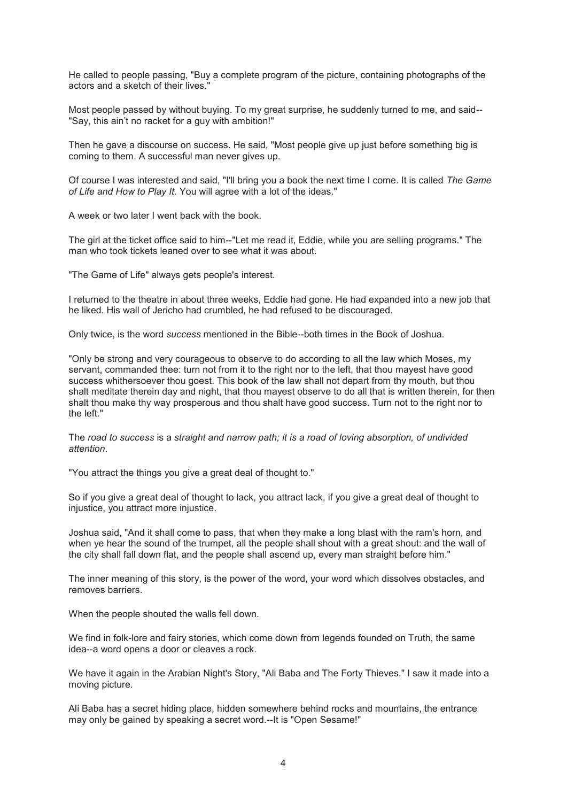He called to people passing, "Buy a complete program of the picture, containing photographs of the actors and a sketch of their lives."

Most people passed by without buying. To my great surprise, he suddenly turned to me, and said-- "Say, this ain't no racket for a guy with ambition!"

Then he gave a discourse on success. He said, "Most people give up just before something big is coming to them. A successful man never gives up.

Of course I was interested and said, "I'll bring you a book the next time I come. It is called *The Game of Life and How to Play It*. You will agree with a lot of the ideas."

A week or two later I went back with the book.

The girl at the ticket office said to him--"Let me read it, Eddie, while you are selling programs." The man who took tickets leaned over to see what it was about.

"The Game of Life" always gets people's interest.

I returned to the theatre in about three weeks, Eddie had gone. He had expanded into a new job that he liked. His wall of Jericho had crumbled, he had refused to be discouraged.

Only twice, is the word *success* mentioned in the Bible--both times in the Book of Joshua.

"Only be strong and very courageous to observe to do according to all the law which Moses, my servant, commanded thee: turn not from it to the right nor to the left, that thou mayest have good success whithersoever thou goest. This book of the law shall not depart from thy mouth, but thou shalt meditate therein day and night, that thou mayest observe to do all that is written therein, for then shalt thou make thy way prosperous and thou shalt have good success. Turn not to the right nor to the left."

The *road to success* is a *straight and narrow path; it is a road of loving absorption, of undivided attention*.

"You attract the things you give a great deal of thought to."

So if you give a great deal of thought to lack, you attract lack, if you give a great deal of thought to injustice, you attract more injustice.

Joshua said, "And it shall come to pass, that when they make a long blast with the ram's horn, and when ye hear the sound of the trumpet, all the people shall shout with a great shout: and the wall of the city shall fall down flat, and the people shall ascend up, every man straight before him."

The inner meaning of this story, is the power of the word, your word which dissolves obstacles, and removes barriers.

When the people shouted the walls fell down.

We find in folk-lore and fairy stories, which come down from legends founded on Truth, the same idea--a word opens a door or cleaves a rock.

We have it again in the Arabian Night's Story, "Ali Baba and The Forty Thieves." I saw it made into a moving picture.

Ali Baba has a secret hiding place, hidden somewhere behind rocks and mountains, the entrance may only be gained by speaking a secret word.--It is "Open Sesame!"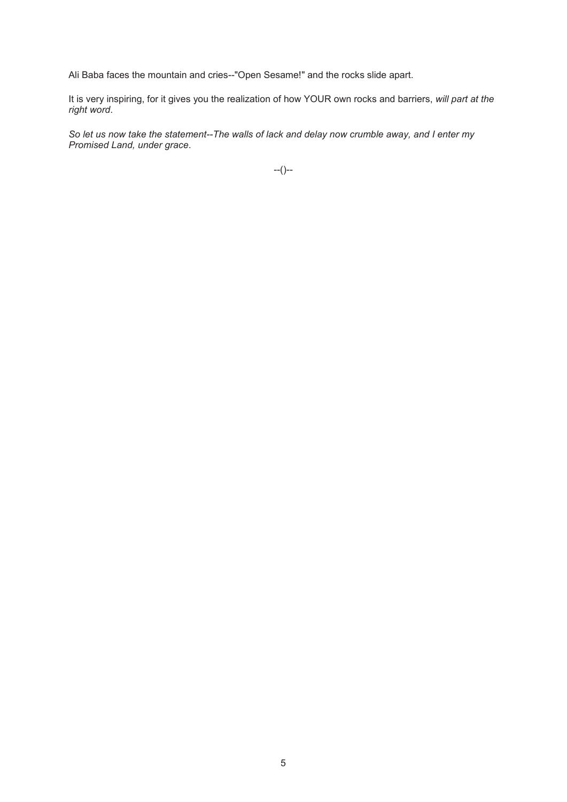Ali Baba faces the mountain and cries--"Open Sesame!" and the rocks slide apart.

It is very inspiring, for it gives you the realization of how YOUR own rocks and barriers, *will part at the right word*.

*So let us now take the statement--The walls of lack and delay now crumble away, and I enter my Promised Land, under grace*.

--()--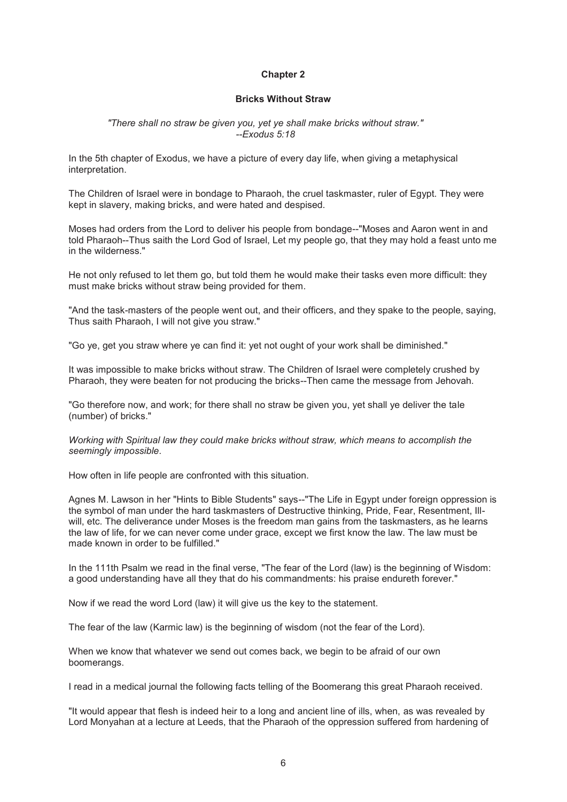#### **Bricks Without Straw**

#### *"There shall no straw be given you, yet ye shall make bricks without straw." --Exodus 5:18*

In the 5th chapter of Exodus, we have a picture of every day life, when giving a metaphysical interpretation.

The Children of Israel were in bondage to Pharaoh, the cruel taskmaster, ruler of Egypt. They were kept in slavery, making bricks, and were hated and despised.

Moses had orders from the Lord to deliver his people from bondage--"Moses and Aaron went in and told Pharaoh--Thus saith the Lord God of Israel, Let my people go, that they may hold a feast unto me in the wilderness."

He not only refused to let them go, but told them he would make their tasks even more difficult: they must make bricks without straw being provided for them.

"And the task-masters of the people went out, and their officers, and they spake to the people, saying, Thus saith Pharaoh, I will not give you straw."

"Go ye, get you straw where ye can find it: yet not ought of your work shall be diminished."

It was impossible to make bricks without straw. The Children of Israel were completely crushed by Pharaoh, they were beaten for not producing the bricks--Then came the message from Jehovah.

"Go therefore now, and work; for there shall no straw be given you, yet shall ye deliver the tale (number) of bricks."

*Working with Spiritual law they could make bricks without straw, which means to accomplish the seemingly impossible*.

How often in life people are confronted with this situation.

Agnes M. Lawson in her "Hints to Bible Students" says--"The Life in Egypt under foreign oppression is the symbol of man under the hard taskmasters of Destructive thinking, Pride, Fear, Resentment, Illwill, etc. The deliverance under Moses is the freedom man gains from the taskmasters, as he learns the law of life, for we can never come under grace, except we first know the law. The law must be made known in order to be fulfilled."

In the 111th Psalm we read in the final verse, "The fear of the Lord (law) is the beginning of Wisdom: a good understanding have all they that do his commandments: his praise endureth forever."

Now if we read the word Lord (law) it will give us the key to the statement.

The fear of the law (Karmic law) is the beginning of wisdom (not the fear of the Lord).

When we know that whatever we send out comes back, we begin to be afraid of our own boomerangs.

I read in a medical journal the following facts telling of the Boomerang this great Pharaoh received.

"It would appear that flesh is indeed heir to a long and ancient line of ills, when, as was revealed by Lord Monyahan at a lecture at Leeds, that the Pharaoh of the oppression suffered from hardening of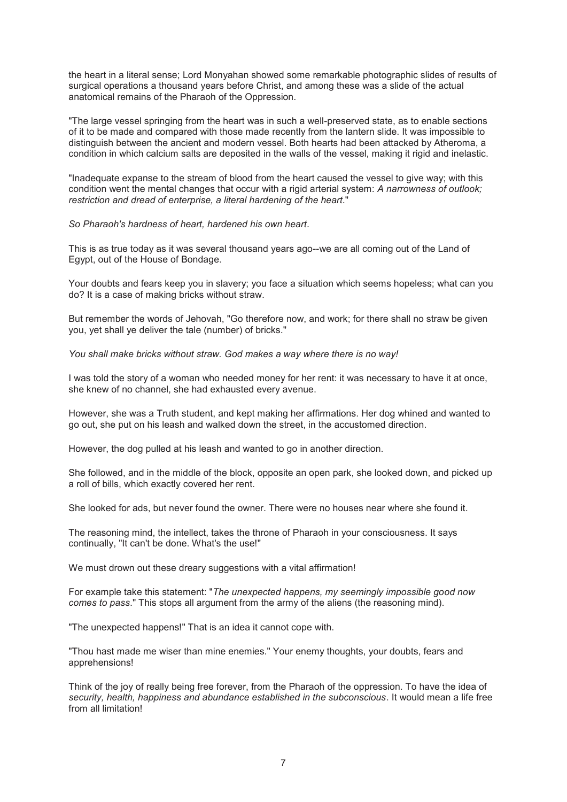the heart in a literal sense; Lord Monyahan showed some remarkable photographic slides of results of surgical operations a thousand years before Christ, and among these was a slide of the actual anatomical remains of the Pharaoh of the Oppression.

"The large vessel springing from the heart was in such a well-preserved state, as to enable sections of it to be made and compared with those made recently from the lantern slide. It was impossible to distinguish between the ancient and modern vessel. Both hearts had been attacked by Atheroma, a condition in which calcium salts are deposited in the walls of the vessel, making it rigid and inelastic.

"Inadequate expanse to the stream of blood from the heart caused the vessel to give way; with this condition went the mental changes that occur with a rigid arterial system: *A narrowness of outlook; restriction and dread of enterprise, a literal hardening of the heart*."

*So Pharaoh's hardness of heart, hardened his own heart*.

This is as true today as it was several thousand years ago--we are all coming out of the Land of Egypt, out of the House of Bondage.

Your doubts and fears keep you in slavery; you face a situation which seems hopeless; what can you do? It is a case of making bricks without straw.

But remember the words of Jehovah, "Go therefore now, and work; for there shall no straw be given you, yet shall ye deliver the tale (number) of bricks."

*You shall make bricks without straw. God makes a way where there is no way!* 

I was told the story of a woman who needed money for her rent: it was necessary to have it at once, she knew of no channel, she had exhausted every avenue.

However, she was a Truth student, and kept making her affirmations. Her dog whined and wanted to go out, she put on his leash and walked down the street, in the accustomed direction.

However, the dog pulled at his leash and wanted to go in another direction.

She followed, and in the middle of the block, opposite an open park, she looked down, and picked up a roll of bills, which exactly covered her rent.

She looked for ads, but never found the owner. There were no houses near where she found it.

The reasoning mind, the intellect, takes the throne of Pharaoh in your consciousness. It says continually, "It can't be done. What's the use!"

We must drown out these dreary suggestions with a vital affirmation!

For example take this statement: "*The unexpected happens, my seemingly impossible good now comes to pass*." This stops all argument from the army of the aliens (the reasoning mind).

"The unexpected happens!" That is an idea it cannot cope with.

"Thou hast made me wiser than mine enemies." Your enemy thoughts, your doubts, fears and apprehensions!

Think of the joy of really being free forever, from the Pharaoh of the oppression. To have the idea of *security, health, happiness and abundance established in the subconscious*. It would mean a life free from all limitation!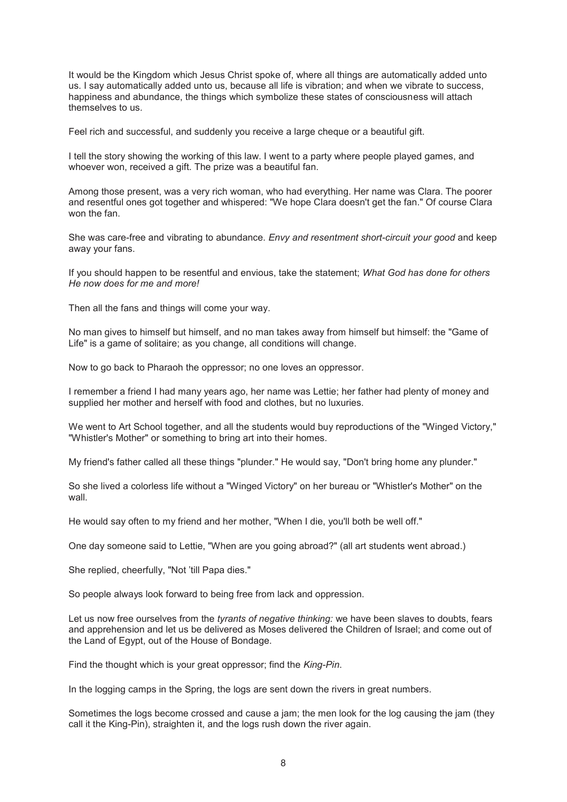It would be the Kingdom which Jesus Christ spoke of, where all things are automatically added unto us. I say automatically added unto us, because all life is vibration; and when we vibrate to success, happiness and abundance, the things which symbolize these states of consciousness will attach themselves to us.

Feel rich and successful, and suddenly you receive a large cheque or a beautiful gift.

I tell the story showing the working of this law. I went to a party where people played games, and whoever won, received a gift. The prize was a beautiful fan.

Among those present, was a very rich woman, who had everything. Her name was Clara. The poorer and resentful ones got together and whispered: "We hope Clara doesn't get the fan." Of course Clara won the fan.

She was care-free and vibrating to abundance. *Envy and resentment short-circuit your good* and keep away your fans.

If you should happen to be resentful and envious, take the statement; *What God has done for others He now does for me and more!*

Then all the fans and things will come your way.

No man gives to himself but himself, and no man takes away from himself but himself; the "Game of Life" is a game of solitaire; as you change, all conditions will change.

Now to go back to Pharaoh the oppressor; no one loves an oppressor.

I remember a friend I had many years ago, her name was Lettie; her father had plenty of money and supplied her mother and herself with food and clothes, but no luxuries.

We went to Art School together, and all the students would buy reproductions of the "Winged Victory," "Whistler's Mother" or something to bring art into their homes.

My friend's father called all these things "plunder." He would say, "Don't bring home any plunder."

So she lived a colorless life without a "Winged Victory" on her bureau or "Whistler's Mother" on the wall

He would say often to my friend and her mother, "When I die, you'll both be well off."

One day someone said to Lettie, "When are you going abroad?" (all art students went abroad.)

She replied, cheerfully, "Not 'till Papa dies."

So people always look forward to being free from lack and oppression.

Let us now free ourselves from the *tyrants of negative thinking:* we have been slaves to doubts, fears and apprehension and let us be delivered as Moses delivered the Children of Israel; and come out of the Land of Egypt, out of the House of Bondage.

Find the thought which is your great oppressor; find the *King-Pin*.

In the logging camps in the Spring, the logs are sent down the rivers in great numbers.

Sometimes the logs become crossed and cause a jam; the men look for the log causing the jam (they call it the King-Pin), straighten it, and the logs rush down the river again.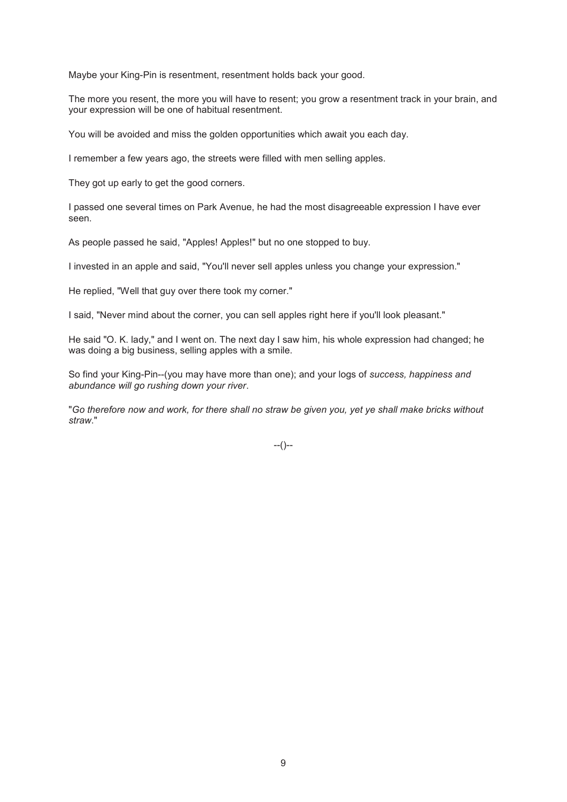Maybe your King-Pin is resentment, resentment holds back your good.

The more you resent, the more you will have to resent; you grow a resentment track in your brain, and your expression will be one of habitual resentment.

You will be avoided and miss the golden opportunities which await you each day.

I remember a few years ago, the streets were filled with men selling apples.

They got up early to get the good corners.

I passed one several times on Park Avenue, he had the most disagreeable expression I have ever seen.

As people passed he said, "Apples! Apples!" but no one stopped to buy.

I invested in an apple and said, "You'll never sell apples unless you change your expression."

He replied, "Well that guy over there took my corner."

I said, "Never mind about the corner, you can sell apples right here if you'll look pleasant."

He said "O. K. lady," and I went on. The next day I saw him, his whole expression had changed; he was doing a big business, selling apples with a smile.

So find your King-Pin--(you may have more than one); and your logs of *success, happiness and abundance will go rushing down your river*.

"*Go therefore now and work, for there shall no straw be given you, yet ye shall make bricks without straw*."

 $-(-)$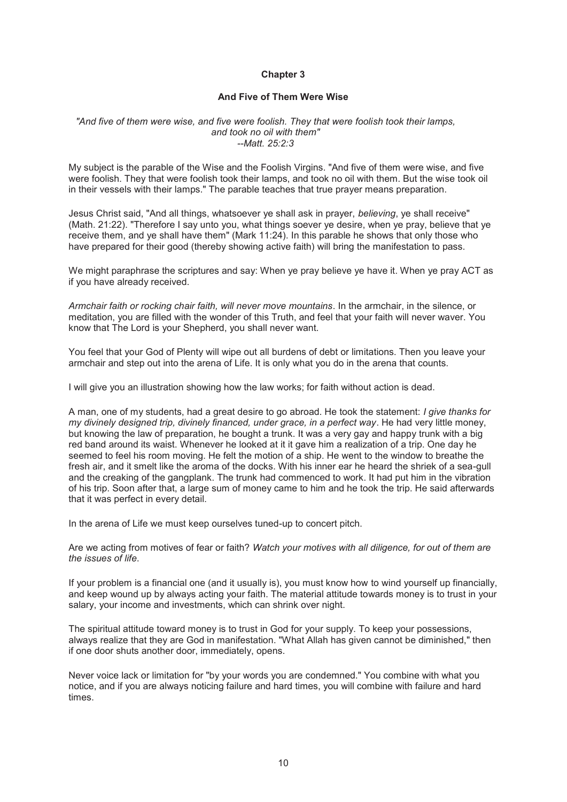#### **And Five of Them Were Wise**

#### *"And five of them were wise, and five were foolish. They that were foolish took their lamps, and took no oil with them" --Matt. 25:2:3*

My subject is the parable of the Wise and the Foolish Virgins. "And five of them were wise, and five were foolish. They that were foolish took their lamps, and took no oil with them. But the wise took oil in their vessels with their lamps." The parable teaches that true prayer means preparation.

Jesus Christ said, "And all things, whatsoever ye shall ask in prayer, *believing*, ye shall receive" (Math. 21:22). "Therefore I say unto you, what things soever ye desire, when ye pray, believe that ye receive them, and ye shall have them" (Mark 11:24). In this parable he shows that only those who have prepared for their good (thereby showing active faith) will bring the manifestation to pass.

We might paraphrase the scriptures and say: When ye pray believe ye have it. When ye pray ACT as if you have already received.

*Armchair faith or rocking chair faith, will never move mountains*. In the armchair, in the silence, or meditation, you are filled with the wonder of this Truth, and feel that your faith will never waver. You know that The Lord is your Shepherd, you shall never want.

You feel that your God of Plenty will wipe out all burdens of debt or limitations. Then you leave your armchair and step out into the arena of Life. It is only what you do in the arena that counts.

I will give you an illustration showing how the law works; for faith without action is dead.

A man, one of my students, had a great desire to go abroad. He took the statement: *I give thanks for my divinely designed trip, divinely financed, under grace, in a perfect way*. He had very little money, but knowing the law of preparation, he bought a trunk. It was a very gay and happy trunk with a big red band around its waist. Whenever he looked at it it gave him a realization of a trip. One day he seemed to feel his room moving. He felt the motion of a ship. He went to the window to breathe the fresh air, and it smelt like the aroma of the docks. With his inner ear he heard the shriek of a sea-gull and the creaking of the gangplank. The trunk had commenced to work. It had put him in the vibration of his trip. Soon after that, a large sum of money came to him and he took the trip. He said afterwards that it was perfect in every detail.

In the arena of Life we must keep ourselves tuned-up to concert pitch.

Are we acting from motives of fear or faith? *Watch your motives with all diligence, for out of them are the issues of life*.

If your problem is a financial one (and it usually is), you must know how to wind yourself up financially, and keep wound up by always acting your faith. The material attitude towards money is to trust in your salary, your income and investments, which can shrink over night.

The spiritual attitude toward money is to trust in God for your supply. To keep your possessions, always realize that they are God in manifestation. "What Allah has given cannot be diminished," then if one door shuts another door, immediately, opens.

Never voice lack or limitation for "by your words you are condemned." You combine with what you notice, and if you are always noticing failure and hard times, you will combine with failure and hard times.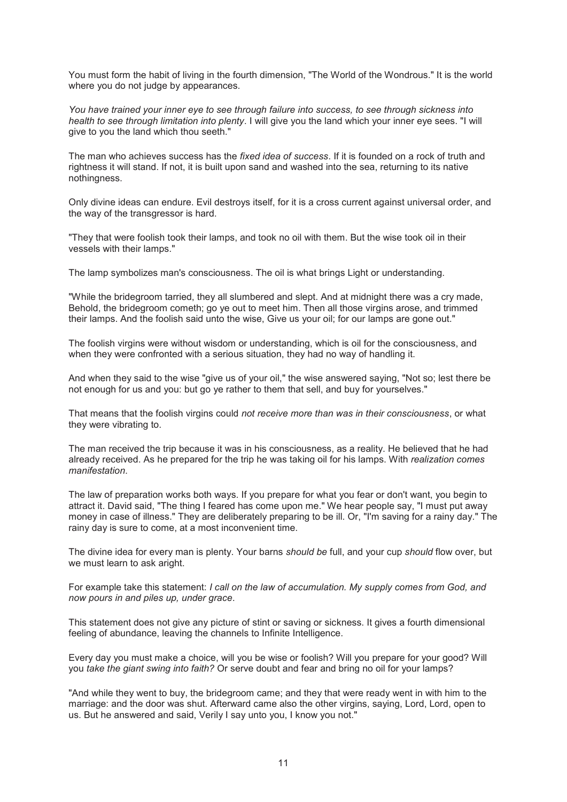You must form the habit of living in the fourth dimension, "The World of the Wondrous." It is the world where you do not judge by appearances.

*You have trained your inner eye to see through failure into success, to see through sickness into health to see through limitation into plenty*. I will give you the land which your inner eye sees. "I will give to you the land which thou seeth."

The man who achieves success has the *fixed idea of success*. If it is founded on a rock of truth and rightness it will stand. If not, it is built upon sand and washed into the sea, returning to its native nothingness.

Only divine ideas can endure. Evil destroys itself, for it is a cross current against universal order, and the way of the transgressor is hard.

"They that were foolish took their lamps, and took no oil with them. But the wise took oil in their vessels with their lamps."

The lamp symbolizes man's consciousness. The oil is what brings Light or understanding.

"While the bridegroom tarried, they all slumbered and slept. And at midnight there was a cry made, Behold, the bridegroom cometh; go ye out to meet him. Then all those virgins arose, and trimmed their lamps. And the foolish said unto the wise, Give us your oil; for our lamps are gone out."

The foolish virgins were without wisdom or understanding, which is oil for the consciousness, and when they were confronted with a serious situation, they had no way of handling it.

And when they said to the wise "give us of your oil," the wise answered saying, "Not so; lest there be not enough for us and you: but go ye rather to them that sell, and buy for yourselves."

That means that the foolish virgins could *not receive more than was in their consciousness*, or what they were vibrating to.

The man received the trip because it was in his consciousness, as a reality. He believed that he had already received. As he prepared for the trip he was taking oil for his lamps. With *realization comes manifestation*.

The law of preparation works both ways. If you prepare for what you fear or don't want, you begin to attract it. David said, "The thing I feared has come upon me." We hear people say, "I must put away money in case of illness." They are deliberately preparing to be ill. Or, "I'm saving for a rainy day." The rainy day is sure to come, at a most inconvenient time.

The divine idea for every man is plenty. Your barns *should be* full, and your cup *should* flow over, but we must learn to ask aright.

For example take this statement: *I call on the law of accumulation. My supply comes from God, and now pours in and piles up, under grace*.

This statement does not give any picture of stint or saving or sickness. It gives a fourth dimensional feeling of abundance, leaving the channels to Infinite Intelligence.

Every day you must make a choice, will you be wise or foolish? Will you prepare for your good? Will you *take the giant swing into faith?* Or serve doubt and fear and bring no oil for your lamps?

"And while they went to buy, the bridegroom came; and they that were ready went in with him to the marriage: and the door was shut. Afterward came also the other virgins, saying, Lord, Lord, open to us. But he answered and said, Verily I say unto you, I know you not."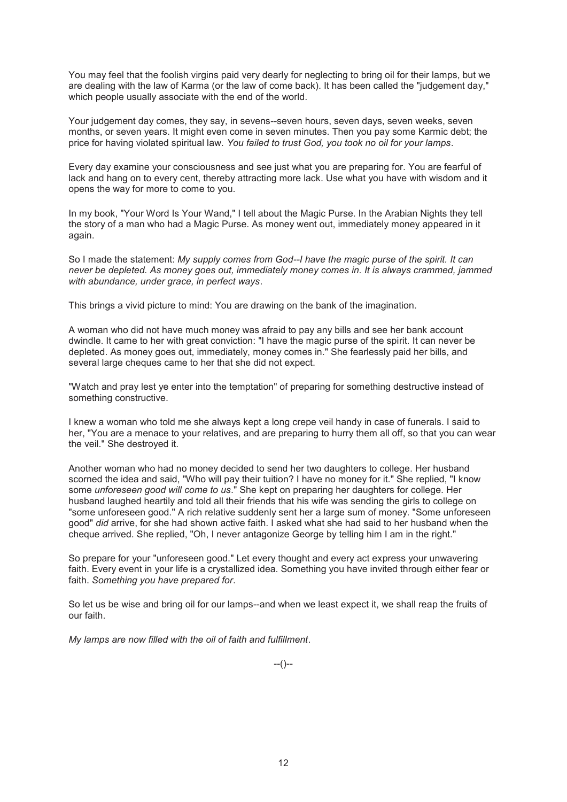You may feel that the foolish virgins paid very dearly for neglecting to bring oil for their lamps, but we are dealing with the law of Karma (or the law of come back). It has been called the "judgement day," which people usually associate with the end of the world.

Your judgement day comes, they say, in sevens--seven hours, seven days, seven weeks, seven months, or seven years. It might even come in seven minutes. Then you pay some Karmic debt; the price for having violated spiritual law. *You failed to trust God, you took no oil for your lamps*.

Every day examine your consciousness and see just what you are preparing for. You are fearful of lack and hang on to every cent, thereby attracting more lack. Use what you have with wisdom and it opens the way for more to come to you.

In my book, "Your Word Is Your Wand," I tell about the Magic Purse. In the Arabian Nights they tell the story of a man who had a Magic Purse. As money went out, immediately money appeared in it again.

So I made the statement: *My supply comes from God--I have the magic purse of the spirit. It can never be depleted. As money goes out, immediately money comes in. It is always crammed, jammed with abundance, under grace, in perfect ways*.

This brings a vivid picture to mind: You are drawing on the bank of the imagination.

A woman who did not have much money was afraid to pay any bills and see her bank account dwindle. It came to her with great conviction: "I have the magic purse of the spirit. It can never be depleted. As money goes out, immediately, money comes in." She fearlessly paid her bills, and several large cheques came to her that she did not expect.

"Watch and pray lest ye enter into the temptation" of preparing for something destructive instead of something constructive.

I knew a woman who told me she always kept a long crepe veil handy in case of funerals. I said to her, "You are a menace to your relatives, and are preparing to hurry them all off, so that you can wear the veil." She destroyed it.

Another woman who had no money decided to send her two daughters to college. Her husband scorned the idea and said, "Who will pay their tuition? I have no money for it." She replied, "I know some *unforeseen good will come to us*." She kept on preparing her daughters for college. Her husband laughed heartily and told all their friends that his wife was sending the girls to college on "some unforeseen good." A rich relative suddenly sent her a large sum of money. "Some unforeseen good" *did* arrive, for she had shown active faith. I asked what she had said to her husband when the cheque arrived. She replied, "Oh, I never antagonize George by telling him I am in the right."

So prepare for your "unforeseen good." Let every thought and every act express your unwavering faith. Every event in your life is a crystallized idea. Something you have invited through either fear or faith. *Something you have prepared for*.

So let us be wise and bring oil for our lamps--and when we least expect it, we shall reap the fruits of our faith.

*My lamps are now filled with the oil of faith and fulfillment*.

 $-(-)$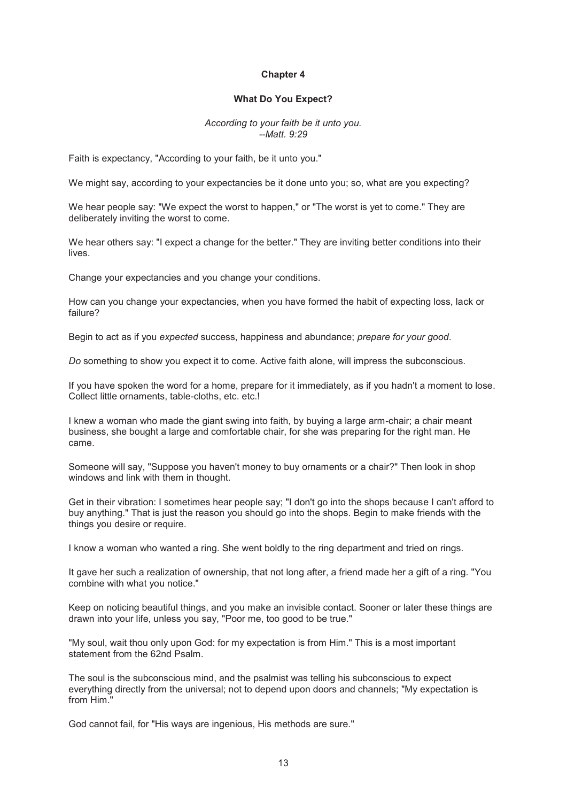## **What Do You Expect?**

#### *According to your faith be it unto you. --Matt. 9:29*

Faith is expectancy, "According to your faith, be it unto you."

We might say, according to your expectancies be it done unto you; so, what are you expecting?

We hear people say: "We expect the worst to happen," or "The worst is yet to come." They are deliberately inviting the worst to come.

We hear others say: "I expect a change for the better." They are inviting better conditions into their lives.

Change your expectancies and you change your conditions.

How can you change your expectancies, when you have formed the habit of expecting loss, lack or failure?

Begin to act as if you *expected* success, happiness and abundance; *prepare for your good*.

*Do* something to show you expect it to come. Active faith alone, will impress the subconscious.

If you have spoken the word for a home, prepare for it immediately, as if you hadn't a moment to lose. Collect little ornaments, table-cloths, etc. etc.!

I knew a woman who made the giant swing into faith, by buying a large arm-chair; a chair meant business, she bought a large and comfortable chair, for she was preparing for the right man. He came.

Someone will say, "Suppose you haven't money to buy ornaments or a chair?" Then look in shop windows and link with them in thought.

Get in their vibration: I sometimes hear people say; "I don't go into the shops because I can't afford to buy anything." That is just the reason you should go into the shops. Begin to make friends with the things you desire or require.

I know a woman who wanted a ring. She went boldly to the ring department and tried on rings.

It gave her such a realization of ownership, that not long after, a friend made her a gift of a ring. "You combine with what you notice."

Keep on noticing beautiful things, and you make an invisible contact. Sooner or later these things are drawn into your life, unless you say, "Poor me, too good to be true."

"My soul, wait thou only upon God: for my expectation is from Him." This is a most important statement from the 62nd Psalm.

The soul is the subconscious mind, and the psalmist was telling his subconscious to expect everything directly from the universal; not to depend upon doors and channels; "My expectation is from Him."

God cannot fail, for "His ways are ingenious, His methods are sure."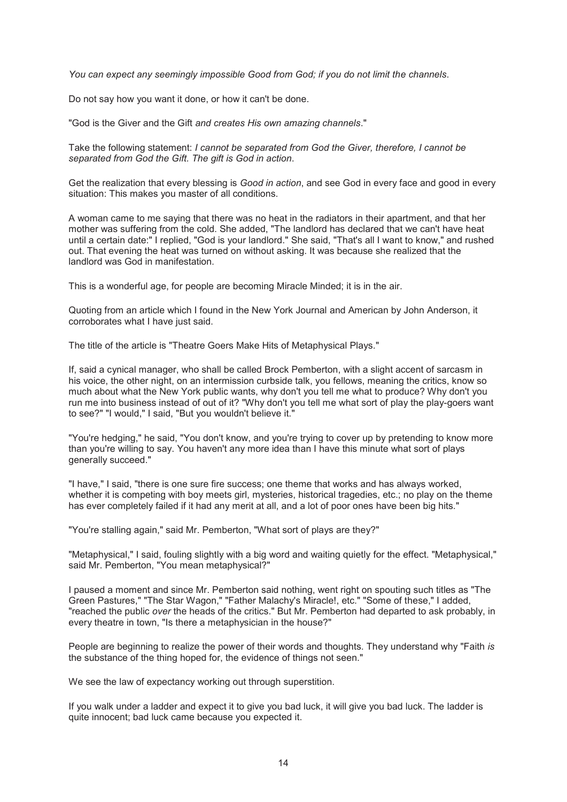*You can expect any seemingly impossible Good from God; if you do not limit the channels*.

Do not say how you want it done, or how it can't be done.

"God is the Giver and the Gift *and creates His own amazing channels*."

Take the following statement: *I cannot be separated from God the Giver, therefore, I cannot be separated from God the Gift. The gift is God in action*.

Get the realization that every blessing is *Good in action*, and see God in every face and good in every situation: This makes you master of all conditions.

A woman came to me saying that there was no heat in the radiators in their apartment, and that her mother was suffering from the cold. She added, "The landlord has declared that we can't have heat until a certain date:" I replied, "God is your landlord." She said, "That's all I want to know," and rushed out. That evening the heat was turned on without asking. It was because she realized that the landlord was God in manifestation.

This is a wonderful age, for people are becoming Miracle Minded; it is in the air.

Quoting from an article which I found in the New York Journal and American by John Anderson, it corroborates what I have just said.

The title of the article is "Theatre Goers Make Hits of Metaphysical Plays."

If, said a cynical manager, who shall be called Brock Pemberton, with a slight accent of sarcasm in his voice, the other night, on an intermission curbside talk, you fellows, meaning the critics, know so much about what the New York public wants, why don't you tell me what to produce? Why don't you run me into business instead of out of it? "Why don't you tell me what sort of play the play-goers want to see?" "I would," I said, "But you wouldn't believe it."

"You're hedging," he said, "You don't know, and you're trying to cover up by pretending to know more than you're willing to say. You haven't any more idea than I have this minute what sort of plays generally succeed."

"I have," I said, "there is one sure fire success; one theme that works and has always worked, whether it is competing with boy meets girl, mysteries, historical tragedies, etc.; no play on the theme has ever completely failed if it had any merit at all, and a lot of poor ones have been big hits."

"You're stalling again," said Mr. Pemberton, "What sort of plays are they?"

"Metaphysical," I said, fouling slightly with a big word and waiting quietly for the effect. "Metaphysical," said Mr. Pemberton, "You mean metaphysical?"

I paused a moment and since Mr. Pemberton said nothing, went right on spouting such titles as "The Green Pastures," "The Star Wagon," "Father Malachy's Miracle!, etc." "Some of these," I added, "reached the public *over* the heads of the critics." But Mr. Pemberton had departed to ask probably, in every theatre in town, "Is there a metaphysician in the house?"

People are beginning to realize the power of their words and thoughts. They understand why "Faith *is* the substance of the thing hoped for, the evidence of things not seen."

We see the law of expectancy working out through superstition.

If you walk under a ladder and expect it to give you bad luck, it will give you bad luck. The ladder is quite innocent; bad luck came because you expected it.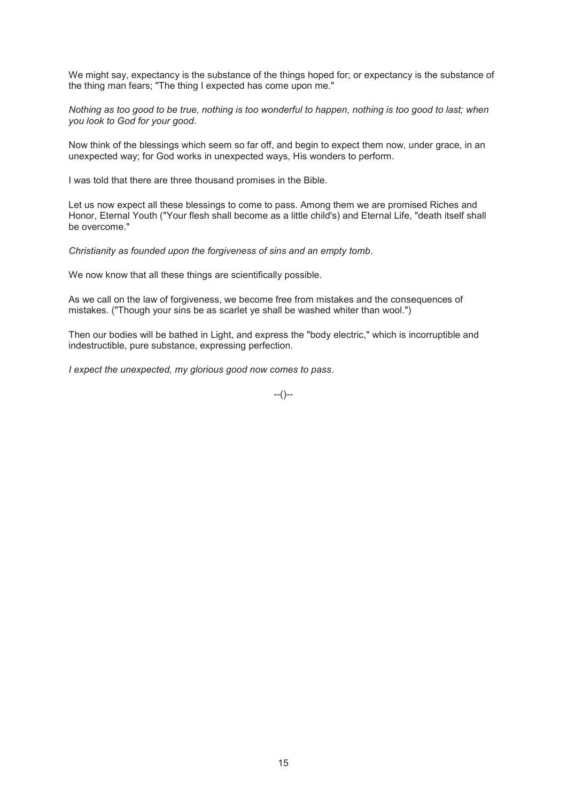We might say, expectancy is the substance of the things hoped for; or expectancy is the substance of the thing man fears; "The thing I expected has come upon me."

*Nothing as too good to be true, nothing is too wonderful to happen, nothing is too good to last; when you look to God for your good*.

Now think of the blessings which seem so far off, and begin to expect them now, under grace, in an unexpected way; for God works in unexpected ways, His wonders to perform.

I was told that there are three thousand promises in the Bible.

Let us now expect all these blessings to come to pass. Among them we are promised Riches and Honor, Eternal Youth ("Your flesh shall become as a little child's) and Eternal Life, "death itself shall be overcome."

*Christianity as founded upon the forgiveness of sins and an empty tomb*.

We now know that all these things are scientifically possible.

As we call on the law of forgiveness, we become free from mistakes and the consequences of mistakes. ("Though your sins be as scarlet ye shall be washed whiter than wool.")

Then our bodies will be bathed in Light, and express the "body electric," which is incorruptible and indestructible, pure substance, expressing perfection.

*I expect the unexpected, my glorious good now comes to pass*.

--()--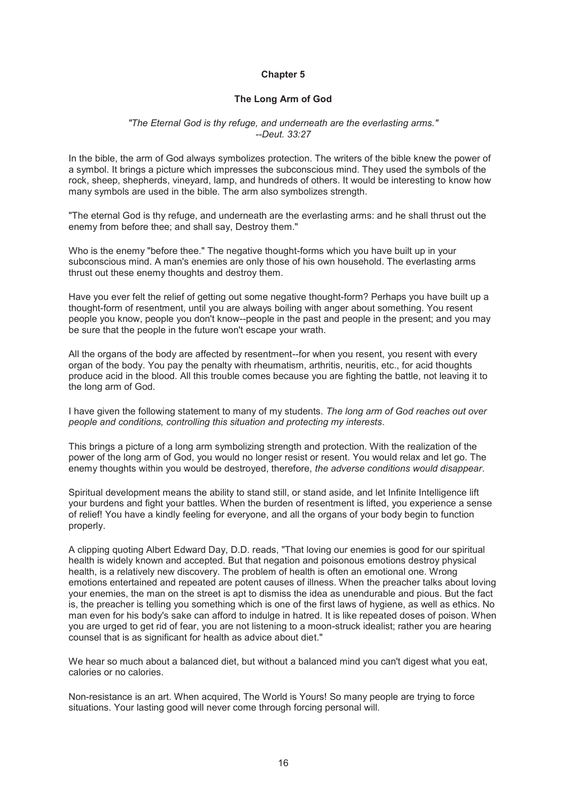#### **The Long Arm of God**

#### *"The Eternal God is thy refuge, and underneath are the everlasting arms." --Deut. 33:27*

In the bible, the arm of God always symbolizes protection. The writers of the bible knew the power of a symbol. It brings a picture which impresses the subconscious mind. They used the symbols of the rock, sheep, shepherds, vineyard, lamp, and hundreds of others. It would be interesting to know how many symbols are used in the bible. The arm also symbolizes strength.

"The eternal God is thy refuge, and underneath are the everlasting arms: and he shall thrust out the enemy from before thee; and shall say, Destroy them."

Who is the enemy "before thee." The negative thought-forms which you have built up in your subconscious mind. A man's enemies are only those of his own household. The everlasting arms thrust out these enemy thoughts and destroy them.

Have you ever felt the relief of getting out some negative thought-form? Perhaps you have built up a thought-form of resentment, until you are always boiling with anger about something. You resent people you know, people you don't know--people in the past and people in the present; and you may be sure that the people in the future won't escape your wrath.

All the organs of the body are affected by resentment--for when you resent, you resent with every organ of the body. You pay the penalty with rheumatism, arthritis, neuritis, etc., for acid thoughts produce acid in the blood. All this trouble comes because you are fighting the battle, not leaving it to the long arm of God.

I have given the following statement to many of my students. *The long arm of God reaches out over people and conditions, controlling this situation and protecting my interests*.

This brings a picture of a long arm symbolizing strength and protection. With the realization of the power of the long arm of God, you would no longer resist or resent. You would relax and let go. The enemy thoughts within you would be destroyed, therefore, *the adverse conditions would disappear*.

Spiritual development means the ability to stand still, or stand aside, and let Infinite Intelligence lift your burdens and fight your battles. When the burden of resentment is lifted, you experience a sense of relief! You have a kindly feeling for everyone, and all the organs of your body begin to function properly.

A clipping quoting Albert Edward Day, D.D. reads, "That loving our enemies is good for our spiritual health is widely known and accepted. But that negation and poisonous emotions destroy physical health, is a relatively new discovery. The problem of health is often an emotional one. Wrong emotions entertained and repeated are potent causes of illness. When the preacher talks about loving your enemies, the man on the street is apt to dismiss the idea as unendurable and pious. But the fact is, the preacher is telling you something which is one of the first laws of hygiene, as well as ethics. No man even for his body's sake can afford to indulge in hatred. It is like repeated doses of poison. When you are urged to get rid of fear, you are not listening to a moon-struck idealist; rather you are hearing counsel that is as significant for health as advice about diet."

We hear so much about a balanced diet, but without a balanced mind you can't digest what you eat, calories or no calories.

Non-resistance is an art. When acquired, The World is Yours! So many people are trying to force situations. Your lasting good will never come through forcing personal will.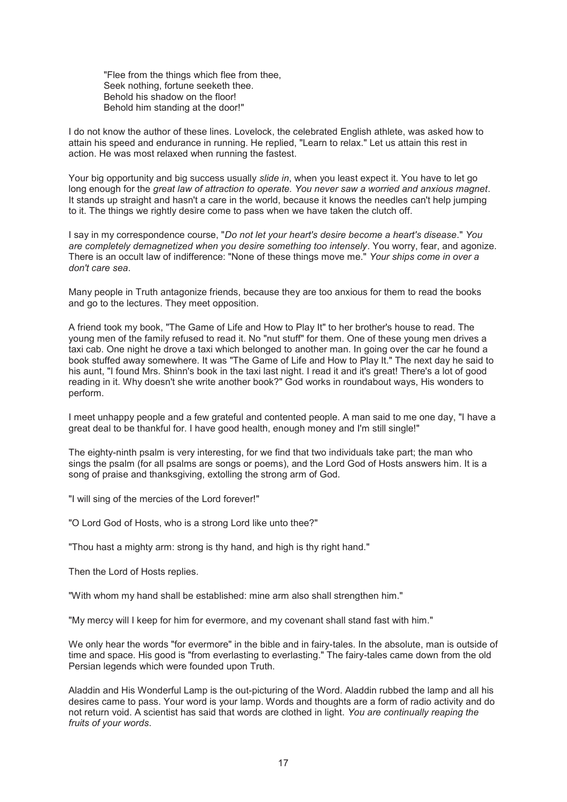"Flee from the things which flee from thee, Seek nothing, fortune seeketh thee. Behold his shadow on the floor! Behold him standing at the door!"

I do not know the author of these lines. Lovelock, the celebrated English athlete, was asked how to attain his speed and endurance in running. He replied, "Learn to relax." Let us attain this rest in action. He was most relaxed when running the fastest.

Your big opportunity and big success usually *slide in*, when you least expect it. You have to let go long enough for the *great law of attraction to operate. You never saw a worried and anxious magnet*. It stands up straight and hasn't a care in the world, because it knows the needles can't help jumping to it. The things we rightly desire come to pass when we have taken the clutch off.

I say in my correspondence course, "*Do not let your heart's desire become a heart's disease*." *You are completely demagnetized when you desire something too intensely*. You worry, fear, and agonize. There is an occult law of indifference: "None of these things move me." *Your ships come in over a don't care sea*.

Many people in Truth antagonize friends, because they are too anxious for them to read the books and go to the lectures. They meet opposition.

A friend took my book, "The Game of Life and How to Play It" to her brother's house to read. The young men of the family refused to read it. No "nut stuff" for them. One of these young men drives a taxi cab. One night he drove a taxi which belonged to another man. In going over the car he found a book stuffed away somewhere. It was "The Game of Life and How to Play It." The next day he said to his aunt. "I found Mrs. Shinn's book in the taxi last night. I read it and it's great! There's a lot of good reading in it. Why doesn't she write another book?" God works in roundabout ways, His wonders to perform.

I meet unhappy people and a few grateful and contented people. A man said to me one day, "I have a great deal to be thankful for. I have good health, enough money and I'm still single!"

The eighty-ninth psalm is very interesting, for we find that two individuals take part; the man who sings the psalm (for all psalms are songs or poems), and the Lord God of Hosts answers him. It is a song of praise and thanksgiving, extolling the strong arm of God.

"I will sing of the mercies of the Lord forever!"

"O Lord God of Hosts, who is a strong Lord like unto thee?"

"Thou hast a mighty arm: strong is thy hand, and high is thy right hand."

Then the Lord of Hosts replies.

"With whom my hand shall be established: mine arm also shall strengthen him."

"My mercy will I keep for him for evermore, and my covenant shall stand fast with him."

We only hear the words "for evermore" in the bible and in fairy-tales. In the absolute, man is outside of time and space. His good is "from everlasting to everlasting." The fairy-tales came down from the old Persian legends which were founded upon Truth.

Aladdin and His Wonderful Lamp is the out-picturing of the Word. Aladdin rubbed the lamp and all his desires came to pass. Your word is your lamp. Words and thoughts are a form of radio activity and do not return void. A scientist has said that words are clothed in light. *You are continually reaping the fruits of your words*.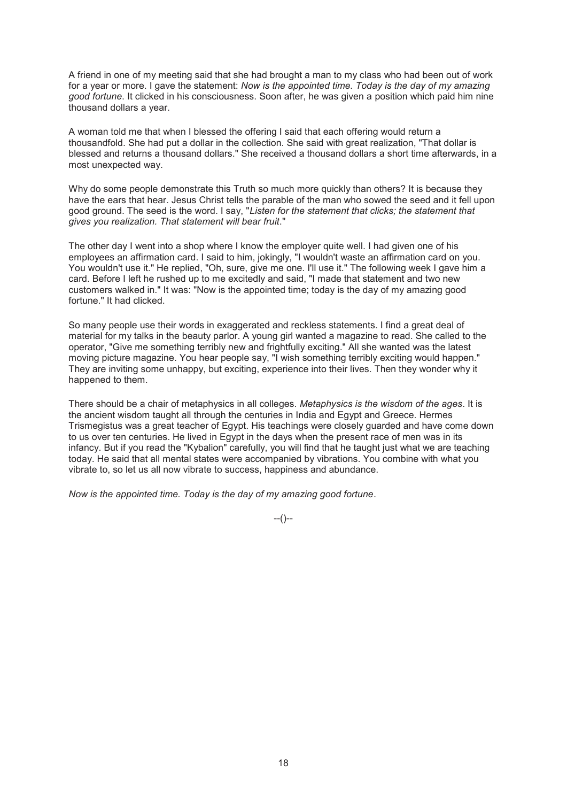A friend in one of my meeting said that she had brought a man to my class who had been out of work for a year or more. I gave the statement: *Now is the appointed time. Today is the day of my amazing good fortune*. It clicked in his consciousness. Soon after, he was given a position which paid him nine thousand dollars a year.

A woman told me that when I blessed the offering I said that each offering would return a thousandfold. She had put a dollar in the collection. She said with great realization, "That dollar is blessed and returns a thousand dollars." She received a thousand dollars a short time afterwards, in a most unexpected way.

Why do some people demonstrate this Truth so much more quickly than others? It is because they have the ears that hear. Jesus Christ tells the parable of the man who sowed the seed and it fell upon good ground. The seed is the word. I say, "*Listen for the statement that clicks; the statement that gives you realization. That statement will bear fruit*."

The other day I went into a shop where I know the employer quite well. I had given one of his employees an affirmation card. I said to him, jokingly, "I wouldn't waste an affirmation card on you. You wouldn't use it." He replied, "Oh, sure, give me one. I'll use it." The following week I gave him a card. Before I left he rushed up to me excitedly and said, "I made that statement and two new customers walked in." It was: "Now is the appointed time; today is the day of my amazing good fortune." It had clicked.

So many people use their words in exaggerated and reckless statements. I find a great deal of material for my talks in the beauty parlor. A young girl wanted a magazine to read. She called to the operator, "Give me something terribly new and frightfully exciting." All she wanted was the latest moving picture magazine. You hear people say, "I wish something terribly exciting would happen." They are inviting some unhappy, but exciting, experience into their lives. Then they wonder why it happened to them.

There should be a chair of metaphysics in all colleges. *Metaphysics is the wisdom of the ages*. It is the ancient wisdom taught all through the centuries in India and Egypt and Greece. Hermes Trismegistus was a great teacher of Egypt. His teachings were closely guarded and have come down to us over ten centuries. He lived in Egypt in the days when the present race of men was in its infancy. But if you read the "Kybalion" carefully, you will find that he taught just what we are teaching today. He said that all mental states were accompanied by vibrations. You combine with what you vibrate to, so let us all now vibrate to success, happiness and abundance.

*Now is the appointed time. Today is the day of my amazing good fortune*.

 $-(-)$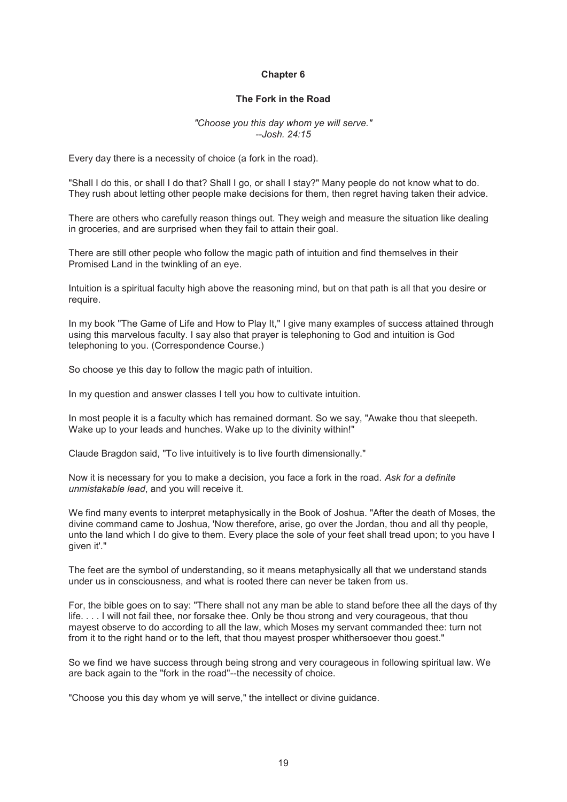#### **The Fork in the Road**

*"Choose you this day whom ye will serve." --Josh. 24:15* 

Every day there is a necessity of choice (a fork in the road).

"Shall I do this, or shall I do that? Shall I go, or shall I stay?" Many people do not know what to do. They rush about letting other people make decisions for them, then regret having taken their advice.

There are others who carefully reason things out. They weigh and measure the situation like dealing in groceries, and are surprised when they fail to attain their goal.

There are still other people who follow the magic path of intuition and find themselves in their Promised Land in the twinkling of an eye.

Intuition is a spiritual faculty high above the reasoning mind, but on that path is all that you desire or require.

In my book "The Game of Life and How to Play It," I give many examples of success attained through using this marvelous faculty. I say also that prayer is telephoning to God and intuition is God telephoning to you. (Correspondence Course.)

So choose ye this day to follow the magic path of intuition.

In my question and answer classes I tell you how to cultivate intuition.

In most people it is a faculty which has remained dormant. So we say, "Awake thou that sleepeth. Wake up to your leads and hunches. Wake up to the divinity within!"

Claude Bragdon said, "To live intuitively is to live fourth dimensionally."

Now it is necessary for you to make a decision, you face a fork in the road. *Ask for a definite unmistakable lead*, and you will receive it.

We find many events to interpret metaphysically in the Book of Joshua. "After the death of Moses, the divine command came to Joshua, 'Now therefore, arise, go over the Jordan, thou and all thy people, unto the land which I do give to them. Every place the sole of your feet shall tread upon; to you have I given it'."

The feet are the symbol of understanding, so it means metaphysically all that we understand stands under us in consciousness, and what is rooted there can never be taken from us.

For, the bible goes on to say: "There shall not any man be able to stand before thee all the days of thy life. . . . I will not fail thee, nor forsake thee. Only be thou strong and very courageous, that thou mayest observe to do according to all the law, which Moses my servant commanded thee: turn not from it to the right hand or to the left, that thou mayest prosper whithersoever thou goest."

So we find we have success through being strong and very courageous in following spiritual law. We are back again to the "fork in the road"--the necessity of choice.

"Choose you this day whom ye will serve," the intellect or divine guidance.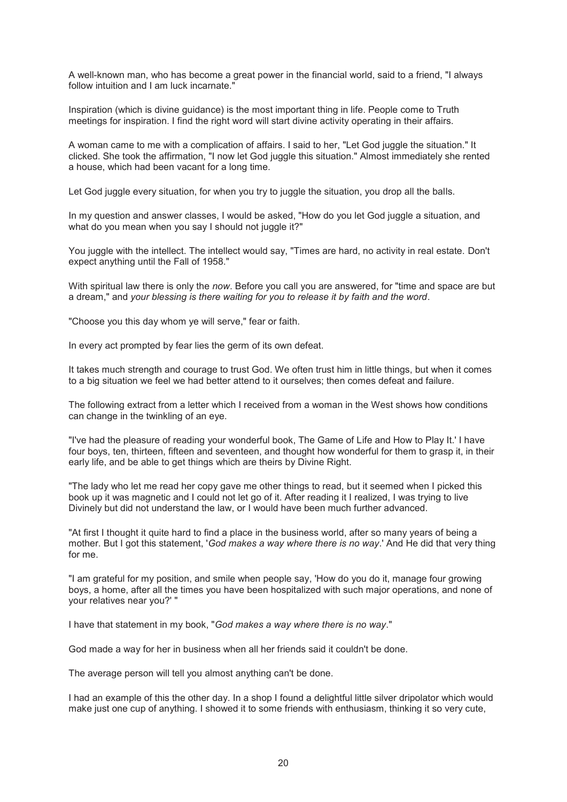A well-known man, who has become a great power in the financial world, said to a friend, "I always follow intuition and I am luck incarnate."

Inspiration (which is divine guidance) is the most important thing in life. People come to Truth meetings for inspiration. I find the right word will start divine activity operating in their affairs.

A woman came to me with a complication of affairs. I said to her, "Let God juggle the situation." It clicked. She took the affirmation, "I now let God juggle this situation." Almost immediately she rented a house, which had been vacant for a long time.

Let God juggle every situation, for when you try to juggle the situation, you drop all the balls.

In my question and answer classes, I would be asked, "How do you let God juggle a situation, and what do you mean when you say I should not juggle it?"

You juggle with the intellect. The intellect would say, "Times are hard, no activity in real estate. Don't expect anything until the Fall of 1958."

With spiritual law there is only the *now*. Before you call you are answered, for "time and space are but a dream," and *your blessing is there waiting for you to release it by faith and the word*.

"Choose you this day whom ye will serve," fear or faith.

In every act prompted by fear lies the germ of its own defeat.

It takes much strength and courage to trust God. We often trust him in little things, but when it comes to a big situation we feel we had better attend to it ourselves; then comes defeat and failure.

The following extract from a letter which I received from a woman in the West shows how conditions can change in the twinkling of an eye.

"I've had the pleasure of reading your wonderful book, The Game of Life and How to Play It.' I have four boys, ten, thirteen, fifteen and seventeen, and thought how wonderful for them to grasp it, in their early life, and be able to get things which are theirs by Divine Right.

"The lady who let me read her copy gave me other things to read, but it seemed when I picked this book up it was magnetic and I could not let go of it. After reading it I realized, I was trying to live Divinely but did not understand the law, or I would have been much further advanced.

"At first I thought it quite hard to find a place in the business world, after so many years of being a mother. But I got this statement, '*God makes a way where there is no way*.' And He did that very thing for me.

"I am grateful for my position, and smile when people say, 'How do you do it, manage four growing boys, a home, after all the times you have been hospitalized with such major operations, and none of your relatives near you?' "

I have that statement in my book, "*God makes a way where there is no way*."

God made a way for her in business when all her friends said it couldn't be done.

The average person will tell you almost anything can't be done.

I had an example of this the other day. In a shop I found a delightful little silver dripolator which would make just one cup of anything. I showed it to some friends with enthusiasm, thinking it so very cute,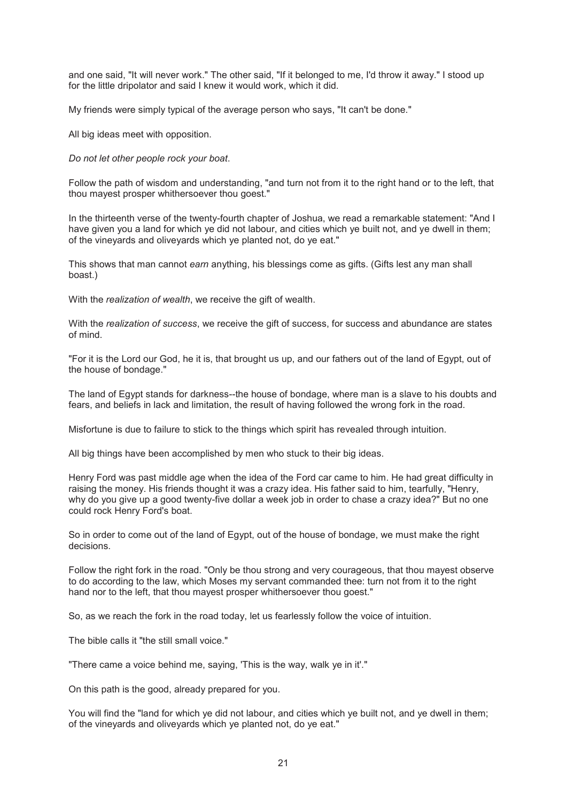and one said, "It will never work." The other said, "If it belonged to me, I'd throw it away." I stood up for the little dripolator and said I knew it would work, which it did.

My friends were simply typical of the average person who says, "It can't be done."

All big ideas meet with opposition.

*Do not let other people rock your boat*.

Follow the path of wisdom and understanding, "and turn not from it to the right hand or to the left, that thou mayest prosper whithersoever thou goest."

In the thirteenth verse of the twenty-fourth chapter of Joshua, we read a remarkable statement: "And I have given you a land for which ye did not labour, and cities which ye built not, and ye dwell in them; of the vineyards and oliveyards which ye planted not, do ye eat."

This shows that man cannot *earn* anything, his blessings come as gifts. (Gifts lest any man shall boast.)

With the *realization of wealth*, we receive the gift of wealth.

With the *realization of success*, we receive the gift of success, for success and abundance are states of mind.

"For it is the Lord our God, he it is, that brought us up, and our fathers out of the land of Egypt, out of the house of bondage."

The land of Egypt stands for darkness--the house of bondage, where man is a slave to his doubts and fears, and beliefs in lack and limitation, the result of having followed the wrong fork in the road.

Misfortune is due to failure to stick to the things which spirit has revealed through intuition.

All big things have been accomplished by men who stuck to their big ideas.

Henry Ford was past middle age when the idea of the Ford car came to him. He had great difficulty in raising the money. His friends thought it was a crazy idea. His father said to him, tearfully, "Henry, why do you give up a good twenty-five dollar a week job in order to chase a crazy idea?" But no one could rock Henry Ford's boat.

So in order to come out of the land of Egypt, out of the house of bondage, we must make the right decisions.

Follow the right fork in the road. "Only be thou strong and very courageous, that thou mayest observe to do according to the law, which Moses my servant commanded thee: turn not from it to the right hand nor to the left, that thou mayest prosper whithersoever thou goest."

So, as we reach the fork in the road today, let us fearlessly follow the voice of intuition.

The bible calls it "the still small voice."

"There came a voice behind me, saying, 'This is the way, walk ye in it'."

On this path is the good, already prepared for you.

You will find the "land for which ye did not labour, and cities which ye built not, and ye dwell in them; of the vineyards and oliveyards which ye planted not, do ye eat."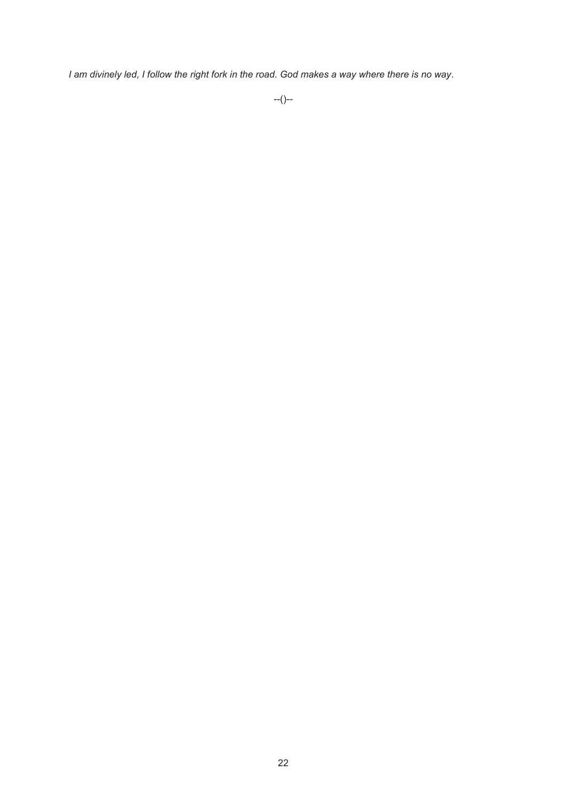*I am divinely led, I follow the right fork in the road. God makes a way where there is no way*.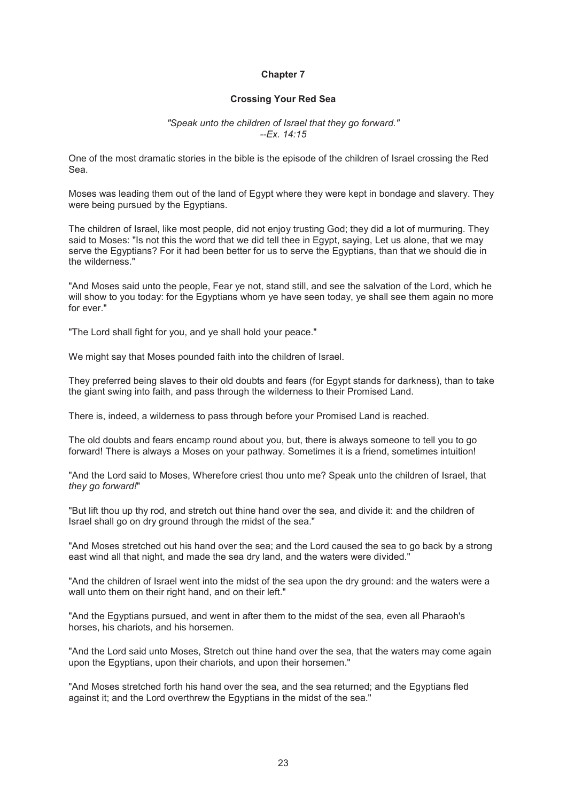## **Crossing Your Red Sea**

#### *"Speak unto the children of Israel that they go forward." --Ex. 14:15*

One of the most dramatic stories in the bible is the episode of the children of Israel crossing the Red Sea.

Moses was leading them out of the land of Egypt where they were kept in bondage and slavery. They were being pursued by the Egyptians.

The children of Israel, like most people, did not enjoy trusting God; they did a lot of murmuring. They said to Moses: "Is not this the word that we did tell thee in Egypt, saying, Let us alone, that we may serve the Egyptians? For it had been better for us to serve the Egyptians, than that we should die in the wilderness."

"And Moses said unto the people, Fear ye not, stand still, and see the salvation of the Lord, which he will show to you today: for the Egyptians whom ye have seen today, ye shall see them again no more for ever."

"The Lord shall fight for you, and ye shall hold your peace."

We might say that Moses pounded faith into the children of Israel.

They preferred being slaves to their old doubts and fears (for Egypt stands for darkness), than to take the giant swing into faith, and pass through the wilderness to their Promised Land.

There is, indeed, a wilderness to pass through before your Promised Land is reached.

The old doubts and fears encamp round about you, but, there is always someone to tell you to go forward! There is always a Moses on your pathway. Sometimes it is a friend, sometimes intuition!

"And the Lord said to Moses, Wherefore criest thou unto me? Speak unto the children of Israel, that *they go forward!*"

"But lift thou up thy rod, and stretch out thine hand over the sea, and divide it: and the children of Israel shall go on dry ground through the midst of the sea."

"And Moses stretched out his hand over the sea; and the Lord caused the sea to go back by a strong east wind all that night, and made the sea dry land, and the waters were divided."

"And the children of Israel went into the midst of the sea upon the dry ground: and the waters were a wall unto them on their right hand, and on their left."

"And the Egyptians pursued, and went in after them to the midst of the sea, even all Pharaoh's horses, his chariots, and his horsemen.

"And the Lord said unto Moses, Stretch out thine hand over the sea, that the waters may come again upon the Egyptians, upon their chariots, and upon their horsemen."

"And Moses stretched forth his hand over the sea, and the sea returned; and the Egyptians fled against it; and the Lord overthrew the Egyptians in the midst of the sea."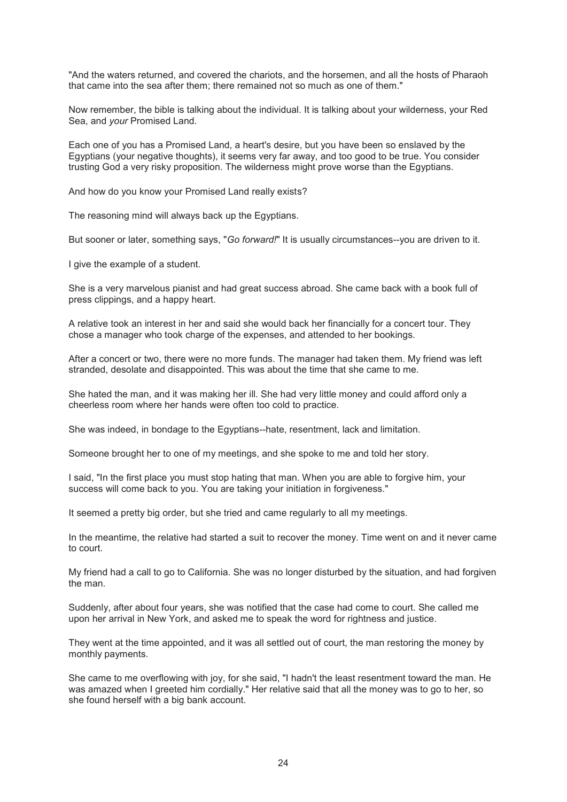"And the waters returned, and covered the chariots, and the horsemen, and all the hosts of Pharaoh that came into the sea after them; there remained not so much as one of them."

Now remember, the bible is talking about the individual. It is talking about your wilderness, your Red Sea, and *your* Promised Land.

Each one of you has a Promised Land, a heart's desire, but you have been so enslaved by the Egyptians (your negative thoughts), it seems very far away, and too good to be true. You consider trusting God a very risky proposition. The wilderness might prove worse than the Egyptians.

And how do you know your Promised Land really exists?

The reasoning mind will always back up the Egyptians.

But sooner or later, something says, "*Go forward!*" It is usually circumstances--you are driven to it.

I give the example of a student.

She is a very marvelous pianist and had great success abroad. She came back with a book full of press clippings, and a happy heart.

A relative took an interest in her and said she would back her financially for a concert tour. They chose a manager who took charge of the expenses, and attended to her bookings.

After a concert or two, there were no more funds. The manager had taken them. My friend was left stranded, desolate and disappointed. This was about the time that she came to me.

She hated the man, and it was making her ill. She had very little money and could afford only a cheerless room where her hands were often too cold to practice.

She was indeed, in bondage to the Egyptians--hate, resentment, lack and limitation.

Someone brought her to one of my meetings, and she spoke to me and told her story.

I said, "In the first place you must stop hating that man. When you are able to forgive him, your success will come back to you. You are taking your initiation in forgiveness."

It seemed a pretty big order, but she tried and came regularly to all my meetings.

In the meantime, the relative had started a suit to recover the money. Time went on and it never came to court.

My friend had a call to go to California. She was no longer disturbed by the situation, and had forgiven the man.

Suddenly, after about four years, she was notified that the case had come to court. She called me upon her arrival in New York, and asked me to speak the word for rightness and justice.

They went at the time appointed, and it was all settled out of court, the man restoring the money by monthly payments.

She came to me overflowing with joy, for she said, "I hadn't the least resentment toward the man. He was amazed when I greeted him cordially." Her relative said that all the money was to go to her, so she found herself with a big bank account.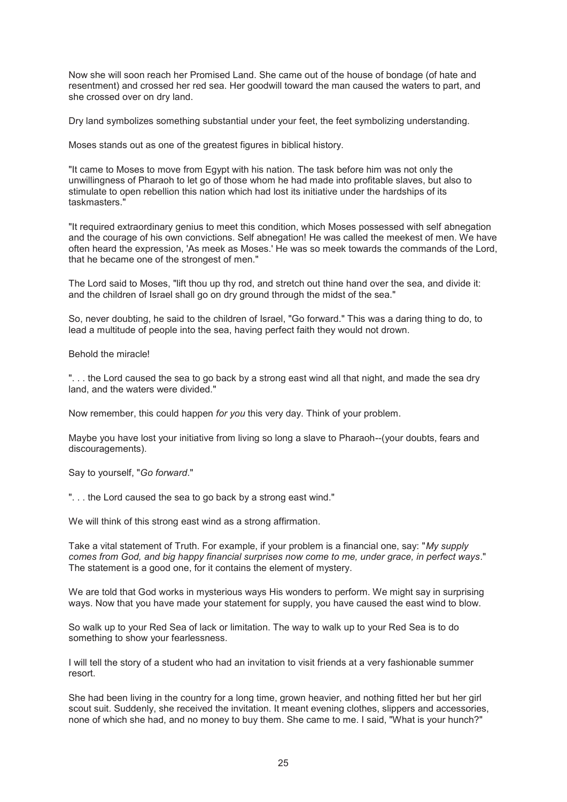Now she will soon reach her Promised Land. She came out of the house of bondage (of hate and resentment) and crossed her red sea. Her goodwill toward the man caused the waters to part, and she crossed over on dry land.

Dry land symbolizes something substantial under your feet, the feet symbolizing understanding.

Moses stands out as one of the greatest figures in biblical history.

"It came to Moses to move from Egypt with his nation. The task before him was not only the unwillingness of Pharaoh to let go of those whom he had made into profitable slaves, but also to stimulate to open rebellion this nation which had lost its initiative under the hardships of its taskmasters."

"It required extraordinary genius to meet this condition, which Moses possessed with self abnegation and the courage of his own convictions. Self abnegation! He was called the meekest of men. We have often heard the expression, 'As meek as Moses.' He was so meek towards the commands of the Lord, that he became one of the strongest of men."

The Lord said to Moses, "lift thou up thy rod, and stretch out thine hand over the sea, and divide it: and the children of Israel shall go on dry ground through the midst of the sea."

So, never doubting, he said to the children of Israel, "Go forward." This was a daring thing to do, to lead a multitude of people into the sea, having perfect faith they would not drown.

Behold the miracle!

"... the Lord caused the sea to go back by a strong east wind all that night, and made the sea dry land, and the waters were divided."

Now remember, this could happen *for you* this very day. Think of your problem.

Maybe you have lost your initiative from living so long a slave to Pharaoh--(your doubts, fears and discouragements).

Say to yourself, "*Go forward*."

". . . the Lord caused the sea to go back by a strong east wind."

We will think of this strong east wind as a strong affirmation.

Take a vital statement of Truth. For example, if your problem is a financial one, say: "*My supply comes from God, and big happy financial surprises now come to me, under grace, in perfect ways*." The statement is a good one, for it contains the element of mystery.

We are told that God works in mysterious ways His wonders to perform. We might say in surprising ways. Now that you have made your statement for supply, you have caused the east wind to blow.

So walk up to your Red Sea of lack or limitation. The way to walk up to your Red Sea is to do something to show your fearlessness.

I will tell the story of a student who had an invitation to visit friends at a very fashionable summer resort.

She had been living in the country for a long time, grown heavier, and nothing fitted her but her girl scout suit. Suddenly, she received the invitation. It meant evening clothes, slippers and accessories, none of which she had, and no money to buy them. She came to me. I said, "What is your hunch?"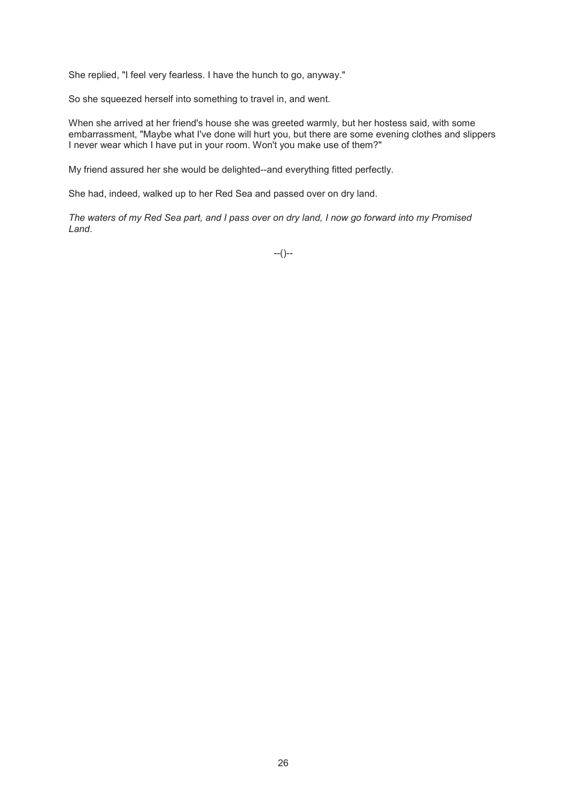She replied, "I feel very fearless. I have the hunch to go, anyway."

So she squeezed herself into something to travel in, and went.

When she arrived at her friend's house she was greeted warmly, but her hostess said, with some embarrassment, "Maybe what I've done will hurt you, but there are some evening clothes and slippers I never wear which I have put in your room. Won't you make use of them?"

My friend assured her she would be delighted--and everything fitted perfectly.

She had, indeed, walked up to her Red Sea and passed over on dry land.

*The waters of my Red Sea part, and I pass over on dry land, I now go forward into my Promised Land*.

--()--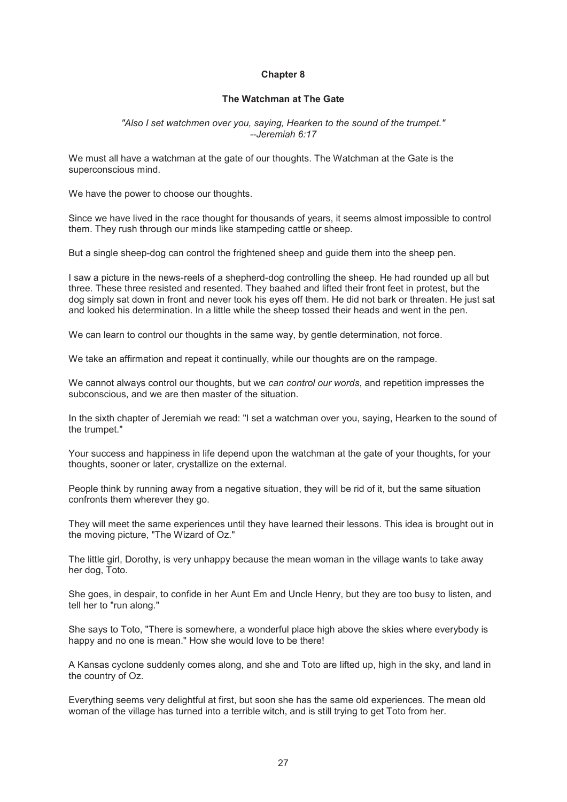#### **The Watchman at The Gate**

#### *"Also I set watchmen over you, saying, Hearken to the sound of the trumpet." --Jeremiah 6:17*

We must all have a watchman at the gate of our thoughts. The Watchman at the Gate is the superconscious mind.

We have the power to choose our thoughts.

Since we have lived in the race thought for thousands of years, it seems almost impossible to control them. They rush through our minds like stampeding cattle or sheep.

But a single sheep-dog can control the frightened sheep and guide them into the sheep pen.

I saw a picture in the news-reels of a shepherd-dog controlling the sheep. He had rounded up all but three. These three resisted and resented. They baahed and lifted their front feet in protest, but the dog simply sat down in front and never took his eyes off them. He did not bark or threaten. He just sat and looked his determination. In a little while the sheep tossed their heads and went in the pen.

We can learn to control our thoughts in the same way, by gentle determination, not force.

We take an affirmation and repeat it continually, while our thoughts are on the rampage.

We cannot always control our thoughts, but we *can control our words*, and repetition impresses the subconscious, and we are then master of the situation.

In the sixth chapter of Jeremiah we read: "I set a watchman over you, saying, Hearken to the sound of the trumpet."

Your success and happiness in life depend upon the watchman at the gate of your thoughts, for your thoughts, sooner or later, crystallize on the external.

People think by running away from a negative situation, they will be rid of it, but the same situation confronts them wherever they go.

They will meet the same experiences until they have learned their lessons. This idea is brought out in the moving picture, "The Wizard of Oz."

The little girl, Dorothy, is very unhappy because the mean woman in the village wants to take away her dog, Toto.

She goes, in despair, to confide in her Aunt Em and Uncle Henry, but they are too busy to listen, and tell her to "run along."

She says to Toto, "There is somewhere, a wonderful place high above the skies where everybody is happy and no one is mean." How she would love to be there!

A Kansas cyclone suddenly comes along, and she and Toto are lifted up, high in the sky, and land in the country of Oz.

Everything seems very delightful at first, but soon she has the same old experiences. The mean old woman of the village has turned into a terrible witch, and is still trying to get Toto from her.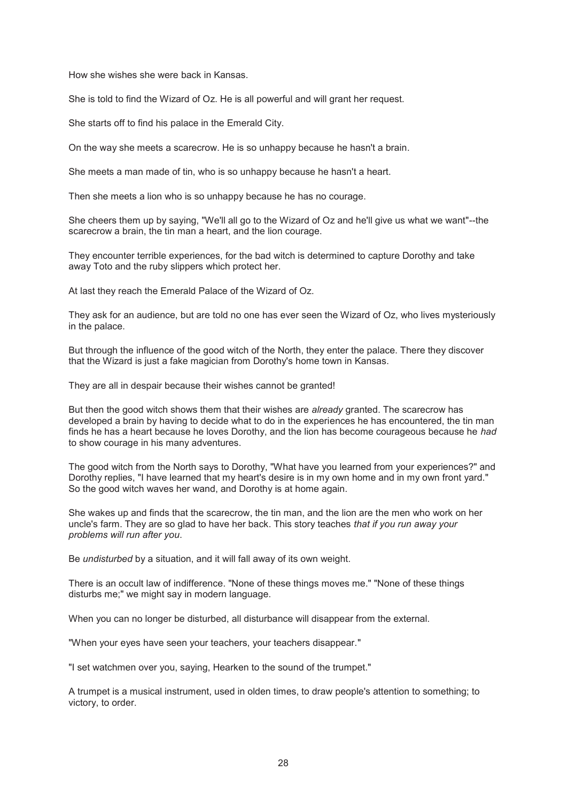How she wishes she were back in Kansas.

She is told to find the Wizard of Oz. He is all powerful and will grant her request.

She starts off to find his palace in the Emerald City.

On the way she meets a scarecrow. He is so unhappy because he hasn't a brain.

She meets a man made of tin, who is so unhappy because he hasn't a heart.

Then she meets a lion who is so unhappy because he has no courage.

She cheers them up by saying, "We'll all go to the Wizard of Oz and he'll give us what we want"--the scarecrow a brain, the tin man a heart, and the lion courage.

They encounter terrible experiences, for the bad witch is determined to capture Dorothy and take away Toto and the ruby slippers which protect her.

At last they reach the Emerald Palace of the Wizard of Oz.

They ask for an audience, but are told no one has ever seen the Wizard of Oz, who lives mysteriously in the palace.

But through the influence of the good witch of the North, they enter the palace. There they discover that the Wizard is just a fake magician from Dorothy's home town in Kansas.

They are all in despair because their wishes cannot be granted!

But then the good witch shows them that their wishes are *already* granted. The scarecrow has developed a brain by having to decide what to do in the experiences he has encountered, the tin man finds he has a heart because he loves Dorothy, and the lion has become courageous because he *had* to show courage in his many adventures.

The good witch from the North says to Dorothy, "What have you learned from your experiences?" and Dorothy replies, "I have learned that my heart's desire is in my own home and in my own front yard." So the good witch waves her wand, and Dorothy is at home again.

She wakes up and finds that the scarecrow, the tin man, and the lion are the men who work on her uncle's farm. They are so glad to have her back. This story teaches *that if you run away your problems will run after you*.

Be *undisturbed* by a situation, and it will fall away of its own weight.

There is an occult law of indifference. "None of these things moves me." "None of these things disturbs me;" we might say in modern language.

When you can no longer be disturbed, all disturbance will disappear from the external.

"When your eyes have seen your teachers, your teachers disappear."

"I set watchmen over you, saying, Hearken to the sound of the trumpet."

A trumpet is a musical instrument, used in olden times, to draw people's attention to something; to victory, to order.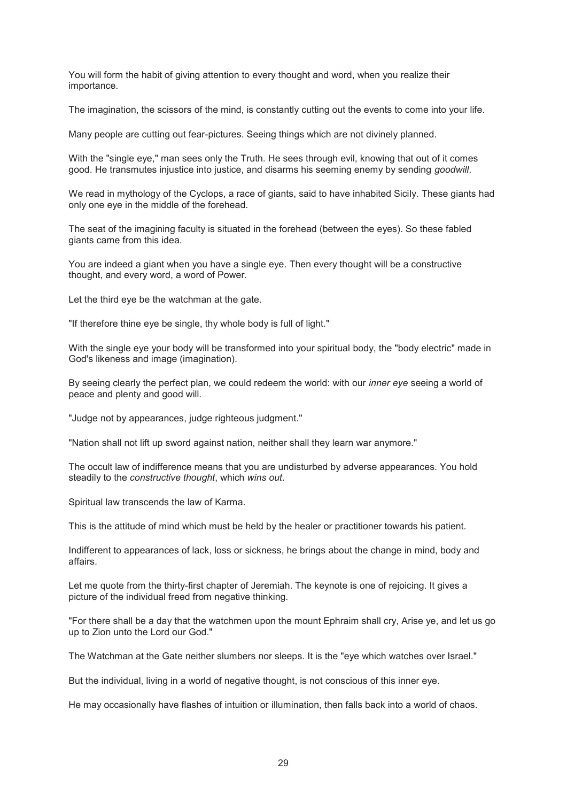You will form the habit of giving attention to every thought and word, when you realize their importance.

The imagination, the scissors of the mind, is constantly cutting out the events to come into your life.

Many people are cutting out fear-pictures. Seeing things which are not divinely planned.

With the "single eye," man sees only the Truth. He sees through evil, knowing that out of it comes good. He transmutes injustice into justice, and disarms his seeming enemy by sending *goodwill*.

We read in mythology of the Cyclops, a race of giants, said to have inhabited Sicily. These giants had only one eye in the middle of the forehead.

The seat of the imagining faculty is situated in the forehead (between the eyes). So these fabled giants came from this idea.

You are indeed a giant when you have a single eye. Then every thought will be a constructive thought, and every word, a word of Power.

Let the third eye be the watchman at the gate.

"If therefore thine eye be single, thy whole body is full of light."

With the single eye your body will be transformed into your spiritual body, the "body electric" made in God's likeness and image (imagination).

By seeing clearly the perfect plan, we could redeem the world: with our *inner eye* seeing a world of peace and plenty and good will.

"Judge not by appearances, judge righteous judgment."

"Nation shall not lift up sword against nation, neither shall they learn war anymore."

The occult law of indifference means that you are undisturbed by adverse appearances. You hold steadily to the *constructive thought*, which *wins out*.

Spiritual law transcends the law of Karma.

This is the attitude of mind which must be held by the healer or practitioner towards his patient.

Indifferent to appearances of lack, loss or sickness, he brings about the change in mind, body and affairs.

Let me quote from the thirty-first chapter of Jeremiah. The keynote is one of rejoicing. It gives a picture of the individual freed from negative thinking.

"For there shall be a day that the watchmen upon the mount Ephraim shall cry, Arise ye, and let us go up to Zion unto the Lord our God."

The Watchman at the Gate neither slumbers nor sleeps. It is the "eye which watches over Israel."

But the individual, living in a world of negative thought, is not conscious of this inner eye.

He may occasionally have flashes of intuition or illumination, then falls back into a world of chaos.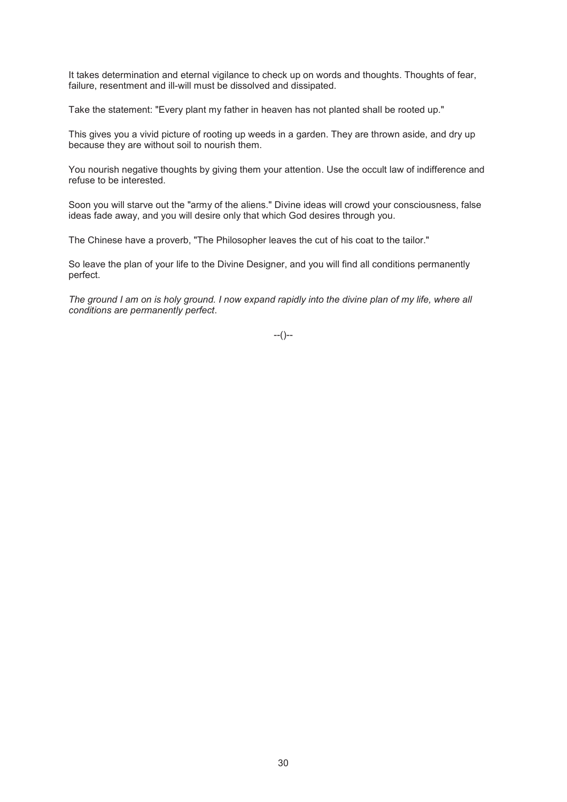It takes determination and eternal vigilance to check up on words and thoughts. Thoughts of fear, failure, resentment and ill-will must be dissolved and dissipated.

Take the statement: "Every plant my father in heaven has not planted shall be rooted up."

This gives you a vivid picture of rooting up weeds in a garden. They are thrown aside, and dry up because they are without soil to nourish them.

You nourish negative thoughts by giving them your attention. Use the occult law of indifference and refuse to be interested.

Soon you will starve out the "army of the aliens." Divine ideas will crowd your consciousness, false ideas fade away, and you will desire only that which God desires through you.

The Chinese have a proverb, "The Philosopher leaves the cut of his coat to the tailor."

So leave the plan of your life to the Divine Designer, and you will find all conditions permanently perfect.

*The ground I am on is holy ground. I now expand rapidly into the divine plan of my life, where all conditions are permanently perfect*.

 $-(-)$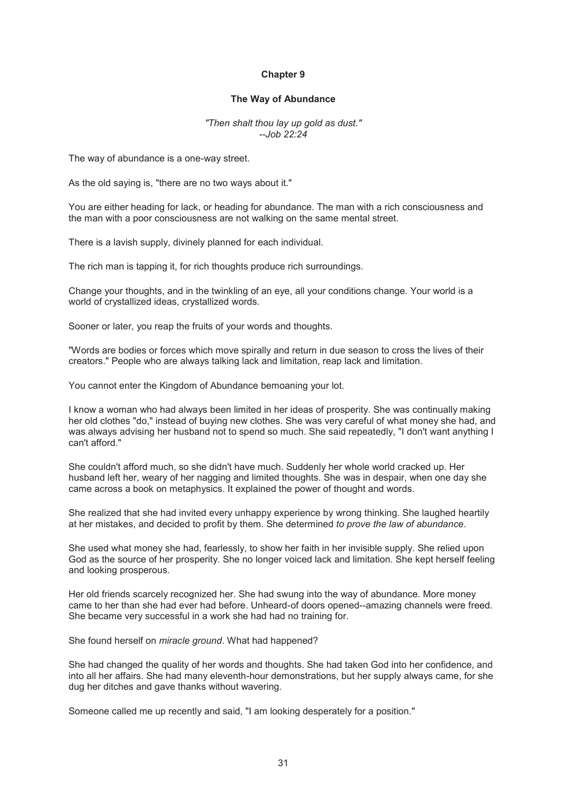#### **The Way of Abundance**

*"Then shalt thou lay up gold as dust." --Job 22:24* 

The way of abundance is a one-way street.

As the old saying is, "there are no two ways about it."

You are either heading for lack, or heading for abundance. The man with a rich consciousness and the man with a poor consciousness are not walking on the same mental street.

There is a lavish supply, divinely planned for each individual.

The rich man is tapping it, for rich thoughts produce rich surroundings.

Change your thoughts, and in the twinkling of an eye, all your conditions change. Your world is a world of crystallized ideas, crystallized words.

Sooner or later, you reap the fruits of your words and thoughts.

"Words are bodies or forces which move spirally and return in due season to cross the lives of their creators." People who are always talking lack and limitation, reap lack and limitation.

You cannot enter the Kingdom of Abundance bemoaning your lot.

I know a woman who had always been limited in her ideas of prosperity. She was continually making her old clothes "do," instead of buying new clothes. She was very careful of what money she had, and was always advising her husband not to spend so much. She said repeatedly, "I don't want anything I can't afford."

She couldn't afford much, so she didn't have much. Suddenly her whole world cracked up. Her husband left her, weary of her nagging and limited thoughts. She was in despair, when one day she came across a book on metaphysics. It explained the power of thought and words.

She realized that she had invited every unhappy experience by wrong thinking. She laughed heartily at her mistakes, and decided to profit by them. She determined *to prove the law of abundance*.

She used what money she had, fearlessly, to show her faith in her invisible supply. She relied upon God as the source of her prosperity. She no longer voiced lack and limitation. She kept herself feeling and looking prosperous.

Her old friends scarcely recognized her. She had swung into the way of abundance. More money came to her than she had ever had before. Unheard-of doors opened--amazing channels were freed. She became very successful in a work she had had no training for.

She found herself on *miracle ground*. What had happened?

She had changed the quality of her words and thoughts. She had taken God into her confidence, and into all her affairs. She had many eleventh-hour demonstrations, but her supply always came, for she dug her ditches and gave thanks without wavering.

Someone called me up recently and said, "I am looking desperately for a position."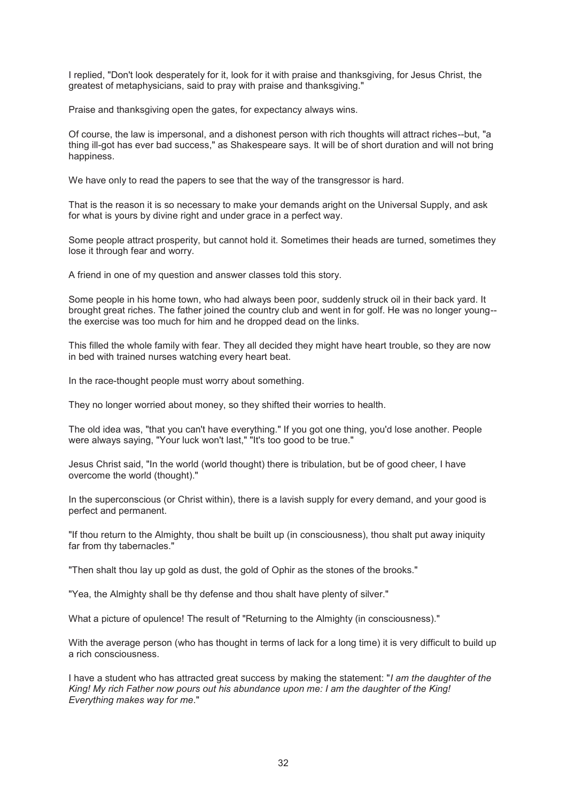I replied, "Don't look desperately for it, look for it with praise and thanksgiving, for Jesus Christ, the greatest of metaphysicians, said to pray with praise and thanksgiving."

Praise and thanksgiving open the gates, for expectancy always wins.

Of course, the law is impersonal, and a dishonest person with rich thoughts will attract riches--but, "a thing ill-got has ever bad success," as Shakespeare says. It will be of short duration and will not bring happiness.

We have only to read the papers to see that the way of the transgressor is hard.

That is the reason it is so necessary to make your demands aright on the Universal Supply, and ask for what is yours by divine right and under grace in a perfect way.

Some people attract prosperity, but cannot hold it. Sometimes their heads are turned, sometimes they lose it through fear and worry.

A friend in one of my question and answer classes told this story.

Some people in his home town, who had always been poor, suddenly struck oil in their back yard. It brought great riches. The father joined the country club and went in for golf. He was no longer young- the exercise was too much for him and he dropped dead on the links.

This filled the whole family with fear. They all decided they might have heart trouble, so they are now in bed with trained nurses watching every heart beat.

In the race-thought people must worry about something.

They no longer worried about money, so they shifted their worries to health.

The old idea was, "that you can't have everything." If you got one thing, you'd lose another. People were always saying, "Your luck won't last," "It's too good to be true."

Jesus Christ said, "In the world (world thought) there is tribulation, but be of good cheer, I have overcome the world (thought)."

In the superconscious (or Christ within), there is a lavish supply for every demand, and your good is perfect and permanent.

"If thou return to the Almighty, thou shalt be built up (in consciousness), thou shalt put away iniquity far from thy tabernacles."

"Then shalt thou lay up gold as dust, the gold of Ophir as the stones of the brooks."

"Yea, the Almighty shall be thy defense and thou shalt have plenty of silver."

What a picture of opulence! The result of "Returning to the Almighty (in consciousness)."

With the average person (who has thought in terms of lack for a long time) it is very difficult to build up a rich consciousness.

I have a student who has attracted great success by making the statement: "*I am the daughter of the King! My rich Father now pours out his abundance upon me: I am the daughter of the King! Everything makes way for me*."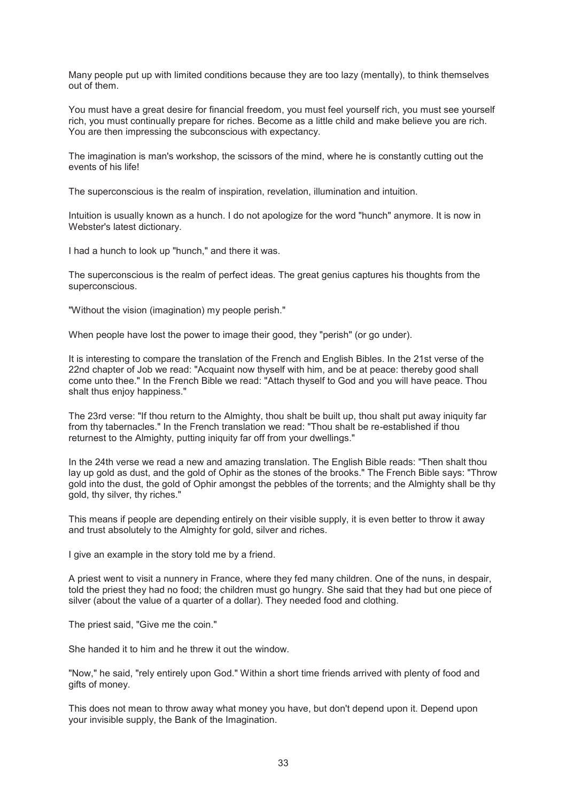Many people put up with limited conditions because they are too lazy (mentally), to think themselves out of them.

You must have a great desire for financial freedom, you must feel yourself rich, you must see yourself rich, you must continually prepare for riches. Become as a little child and make believe you are rich. You are then impressing the subconscious with expectancy.

The imagination is man's workshop, the scissors of the mind, where he is constantly cutting out the events of his life!

The superconscious is the realm of inspiration, revelation, illumination and intuition.

Intuition is usually known as a hunch. I do not apologize for the word "hunch" anymore. It is now in Webster's latest dictionary.

I had a hunch to look up "hunch," and there it was.

The superconscious is the realm of perfect ideas. The great genius captures his thoughts from the superconscious.

"Without the vision (imagination) my people perish."

When people have lost the power to image their good, they "perish" (or go under).

It is interesting to compare the translation of the French and English Bibles. In the 21st verse of the 22nd chapter of Job we read: "Acquaint now thyself with him, and be at peace: thereby good shall come unto thee." In the French Bible we read: "Attach thyself to God and you will have peace. Thou shalt thus enjoy happiness."

The 23rd verse: "If thou return to the Almighty, thou shalt be built up, thou shalt put away iniquity far from thy tabernacles." In the French translation we read: "Thou shalt be re-established if thou returnest to the Almighty, putting iniquity far off from your dwellings."

In the 24th verse we read a new and amazing translation. The English Bible reads: "Then shalt thou lay up gold as dust, and the gold of Ophir as the stones of the brooks." The French Bible says: "Throw gold into the dust, the gold of Ophir amongst the pebbles of the torrents; and the Almighty shall be thy gold, thy silver, thy riches."

This means if people are depending entirely on their visible supply, it is even better to throw it away and trust absolutely to the Almighty for gold, silver and riches.

I give an example in the story told me by a friend.

A priest went to visit a nunnery in France, where they fed many children. One of the nuns, in despair, told the priest they had no food; the children must go hungry. She said that they had but one piece of silver (about the value of a quarter of a dollar). They needed food and clothing.

The priest said, "Give me the coin."

She handed it to him and he threw it out the window.

"Now," he said, "rely entirely upon God." Within a short time friends arrived with plenty of food and gifts of money.

This does not mean to throw away what money you have, but don't depend upon it. Depend upon your invisible supply, the Bank of the Imagination.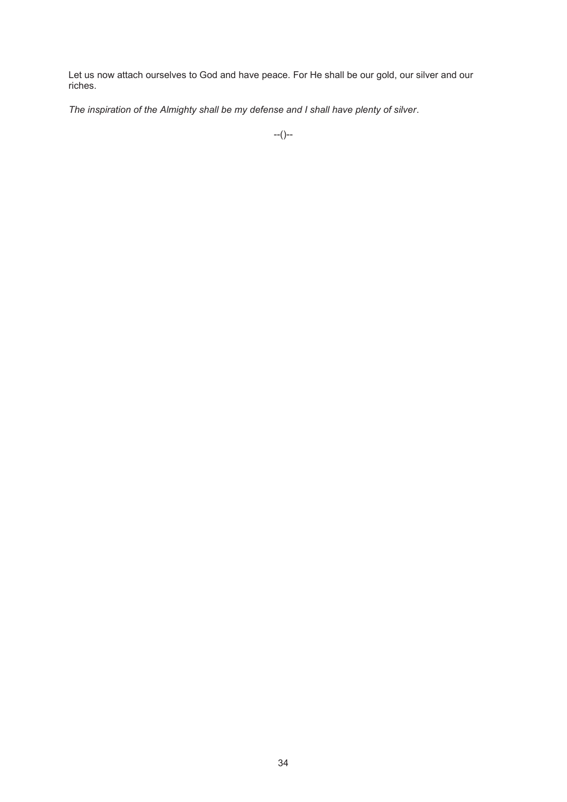Let us now attach ourselves to God and have peace. For He shall be our gold, our silver and our riches.

*The inspiration of the Almighty shall be my defense and I shall have plenty of silver*.

--()--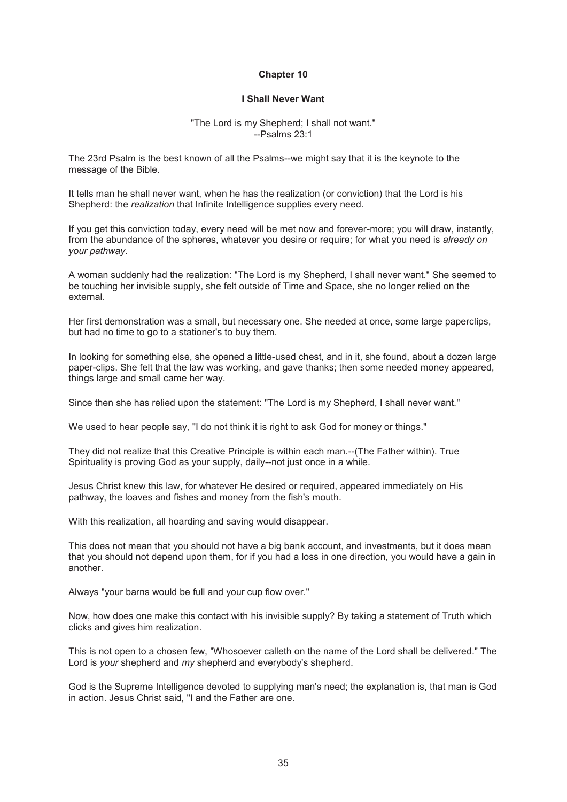#### **I Shall Never Want**

#### "The Lord is my Shepherd; I shall not want." --Psalms 23:1

The 23rd Psalm is the best known of all the Psalms--we might say that it is the keynote to the message of the Bible.

It tells man he shall never want, when he has the realization (or conviction) that the Lord is his Shepherd: the *realization* that Infinite Intelligence supplies every need.

If you get this conviction today, every need will be met now and forever-more; you will draw, instantly, from the abundance of the spheres, whatever you desire or require; for what you need is *already on your pathway*.

A woman suddenly had the realization: "The Lord is my Shepherd, I shall never want." She seemed to be touching her invisible supply, she felt outside of Time and Space, she no longer relied on the external.

Her first demonstration was a small, but necessary one. She needed at once, some large paperclips, but had no time to go to a stationer's to buy them.

In looking for something else, she opened a little-used chest, and in it, she found, about a dozen large paper-clips. She felt that the law was working, and gave thanks; then some needed money appeared, things large and small came her way.

Since then she has relied upon the statement: "The Lord is my Shepherd, I shall never want."

We used to hear people say, "I do not think it is right to ask God for money or things."

They did not realize that this Creative Principle is within each man.--(The Father within). True Spirituality is proving God as your supply, daily--not just once in a while.

Jesus Christ knew this law, for whatever He desired or required, appeared immediately on His pathway, the loaves and fishes and money from the fish's mouth.

With this realization, all hoarding and saving would disappear.

This does not mean that you should not have a big bank account, and investments, but it does mean that you should not depend upon them, for if you had a loss in one direction, you would have a gain in another.

Always "your barns would be full and your cup flow over."

Now, how does one make this contact with his invisible supply? By taking a statement of Truth which clicks and gives him realization.

This is not open to a chosen few, "Whosoever calleth on the name of the Lord shall be delivered." The Lord is *your* shepherd and *my* shepherd and everybody's shepherd.

God is the Supreme Intelligence devoted to supplying man's need; the explanation is, that man is God in action. Jesus Christ said, "I and the Father are one.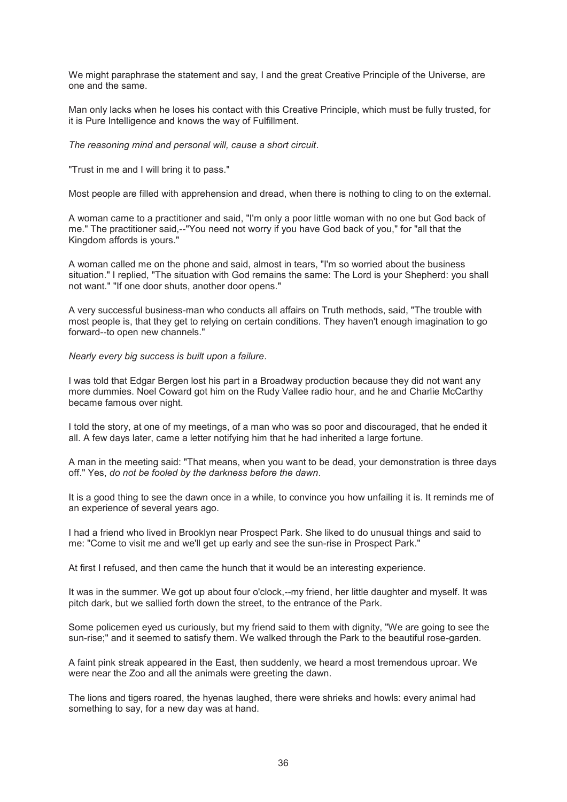We might paraphrase the statement and say, I and the great Creative Principle of the Universe, are one and the same.

Man only lacks when he loses his contact with this Creative Principle, which must be fully trusted, for it is Pure Intelligence and knows the way of Fulfillment.

*The reasoning mind and personal will, cause a short circuit*.

"Trust in me and I will bring it to pass."

Most people are filled with apprehension and dread, when there is nothing to cling to on the external.

A woman came to a practitioner and said, "I'm only a poor little woman with no one but God back of me." The practitioner said,--"You need not worry if you have God back of you," for "all that the Kingdom affords is yours."

A woman called me on the phone and said, almost in tears, "I'm so worried about the business situation." I replied, "The situation with God remains the same: The Lord is your Shepherd: you shall not want." "If one door shuts, another door opens."

A very successful business-man who conducts all affairs on Truth methods, said, "The trouble with most people is, that they get to relying on certain conditions. They haven't enough imagination to go forward--to open new channels."

*Nearly every big success is built upon a failure*.

I was told that Edgar Bergen lost his part in a Broadway production because they did not want any more dummies. Noel Coward got him on the Rudy Vallee radio hour, and he and Charlie McCarthy became famous over night.

I told the story, at one of my meetings, of a man who was so poor and discouraged, that he ended it all. A few days later, came a letter notifying him that he had inherited a large fortune.

A man in the meeting said: "That means, when you want to be dead, your demonstration is three days off." Yes, *do not be fooled by the darkness before the dawn*.

It is a good thing to see the dawn once in a while, to convince you how unfailing it is. It reminds me of an experience of several years ago.

I had a friend who lived in Brooklyn near Prospect Park. She liked to do unusual things and said to me: "Come to visit me and we'll get up early and see the sun-rise in Prospect Park."

At first I refused, and then came the hunch that it would be an interesting experience.

It was in the summer. We got up about four o'clock,--my friend, her little daughter and myself. It was pitch dark, but we sallied forth down the street, to the entrance of the Park.

Some policemen eyed us curiously, but my friend said to them with dignity, "We are going to see the sun-rise;" and it seemed to satisfy them. We walked through the Park to the beautiful rose-garden.

A faint pink streak appeared in the East, then suddenly, we heard a most tremendous uproar. We were near the Zoo and all the animals were greeting the dawn.

The lions and tigers roared, the hyenas laughed, there were shrieks and howls: every animal had something to say, for a new day was at hand.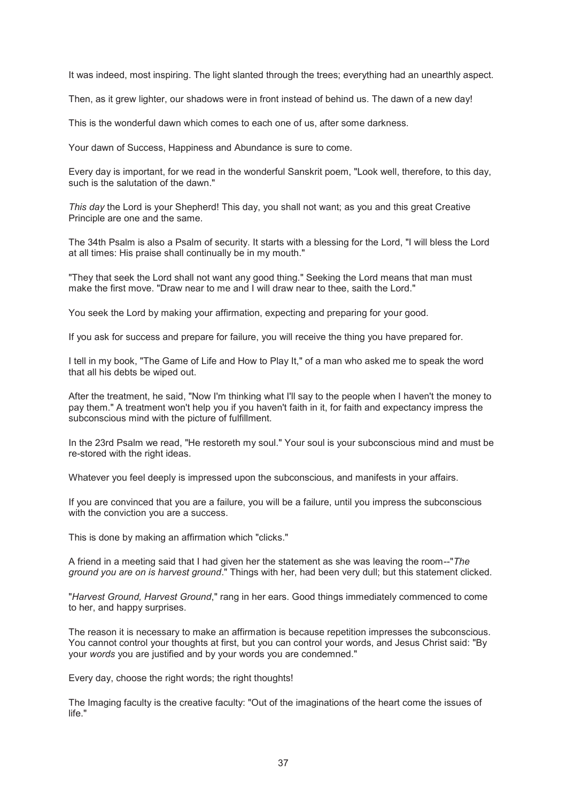It was indeed, most inspiring. The light slanted through the trees; everything had an unearthly aspect.

Then, as it grew lighter, our shadows were in front instead of behind us. The dawn of a new day!

This is the wonderful dawn which comes to each one of us, after some darkness.

Your dawn of Success, Happiness and Abundance is sure to come.

Every day is important, for we read in the wonderful Sanskrit poem, "Look well, therefore, to this day, such is the salutation of the dawn."

*This day* the Lord is your Shepherd! This day, you shall not want; as you and this great Creative Principle are one and the same.

The 34th Psalm is also a Psalm of security. It starts with a blessing for the Lord, "I will bless the Lord at all times: His praise shall continually be in my mouth."

"They that seek the Lord shall not want any good thing." Seeking the Lord means that man must make the first move. "Draw near to me and I will draw near to thee, saith the Lord."

You seek the Lord by making your affirmation, expecting and preparing for your good.

If you ask for success and prepare for failure, you will receive the thing you have prepared for.

I tell in my book, "The Game of Life and How to Play It," of a man who asked me to speak the word that all his debts be wiped out.

After the treatment, he said, "Now I'm thinking what I'll say to the people when I haven't the money to pay them." A treatment won't help you if you haven't faith in it, for faith and expectancy impress the subconscious mind with the picture of fulfillment.

In the 23rd Psalm we read, "He restoreth my soul." Your soul is your subconscious mind and must be re-stored with the right ideas.

Whatever you feel deeply is impressed upon the subconscious, and manifests in your affairs.

If you are convinced that you are a failure, you will be a failure, until you impress the subconscious with the conviction you are a success.

This is done by making an affirmation which "clicks."

A friend in a meeting said that I had given her the statement as she was leaving the room--"*The ground you are on is harvest ground*." Things with her, had been very dull; but this statement clicked.

"*Harvest Ground, Harvest Ground*," rang in her ears. Good things immediately commenced to come to her, and happy surprises.

The reason it is necessary to make an affirmation is because repetition impresses the subconscious. You cannot control your thoughts at first, but you can control your words, and Jesus Christ said: "By your *words* you are justified and by your words you are condemned."

Every day, choose the right words; the right thoughts!

The Imaging faculty is the creative faculty: "Out of the imaginations of the heart come the issues of life."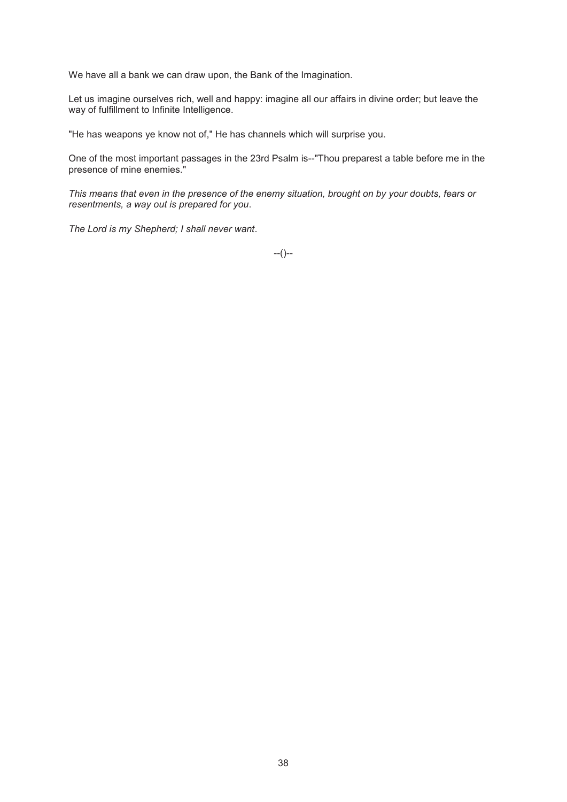We have all a bank we can draw upon, the Bank of the Imagination.

Let us imagine ourselves rich, well and happy: imagine all our affairs in divine order; but leave the way of fulfillment to Infinite Intelligence.

"He has weapons ye know not of," He has channels which will surprise you.

One of the most important passages in the 23rd Psalm is--"Thou preparest a table before me in the presence of mine enemies."

*This means that even in the presence of the enemy situation, brought on by your doubts, fears or resentments, a way out is prepared for you*.

*The Lord is my Shepherd; I shall never want*.

--()--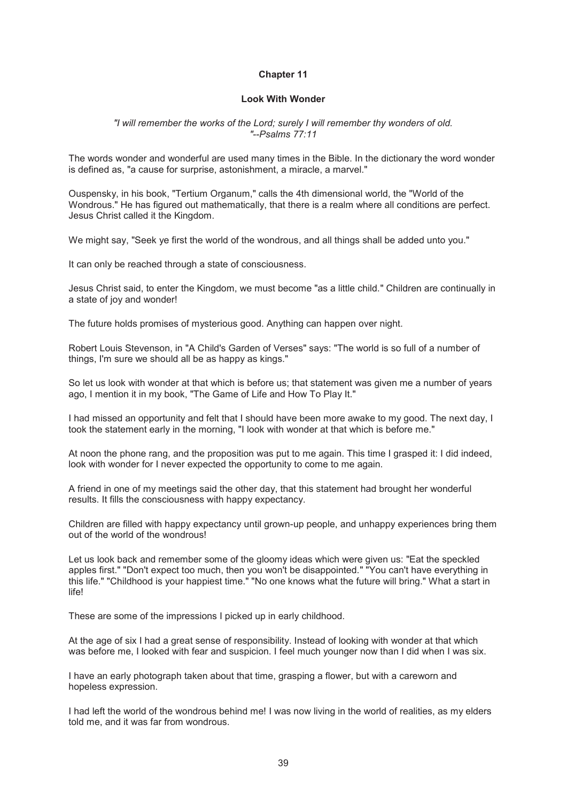#### **Look With Wonder**

#### *"I will remember the works of the Lord; surely I will remember thy wonders of old. "--Psalms 77:11*

The words wonder and wonderful are used many times in the Bible. In the dictionary the word wonder is defined as, "a cause for surprise, astonishment, a miracle, a marvel."

Ouspensky, in his book, "Tertium Organum," calls the 4th dimensional world, the "World of the Wondrous." He has figured out mathematically, that there is a realm where all conditions are perfect. Jesus Christ called it the Kingdom.

We might say, "Seek ye first the world of the wondrous, and all things shall be added unto you."

It can only be reached through a state of consciousness.

Jesus Christ said, to enter the Kingdom, we must become "as a little child." Children are continually in a state of joy and wonder!

The future holds promises of mysterious good. Anything can happen over night.

Robert Louis Stevenson, in "A Child's Garden of Verses" says: "The world is so full of a number of things, I'm sure we should all be as happy as kings."

So let us look with wonder at that which is before us; that statement was given me a number of years ago, I mention it in my book, "The Game of Life and How To Play It."

I had missed an opportunity and felt that I should have been more awake to my good. The next day, I took the statement early in the morning, "I look with wonder at that which is before me."

At noon the phone rang, and the proposition was put to me again. This time I grasped it: I did indeed, look with wonder for I never expected the opportunity to come to me again.

A friend in one of my meetings said the other day, that this statement had brought her wonderful results. It fills the consciousness with happy expectancy.

Children are filled with happy expectancy until grown-up people, and unhappy experiences bring them out of the world of the wondrous!

Let us look back and remember some of the gloomy ideas which were given us: "Eat the speckled apples first." "Don't expect too much, then you won't be disappointed." "You can't have everything in this life." "Childhood is your happiest time." "No one knows what the future will bring." What a start in life!

These are some of the impressions I picked up in early childhood.

At the age of six I had a great sense of responsibility. Instead of looking with wonder at that which was before me, I looked with fear and suspicion. I feel much younger now than I did when I was six.

I have an early photograph taken about that time, grasping a flower, but with a careworn and hopeless expression.

I had left the world of the wondrous behind me! I was now living in the world of realities, as my elders told me, and it was far from wondrous.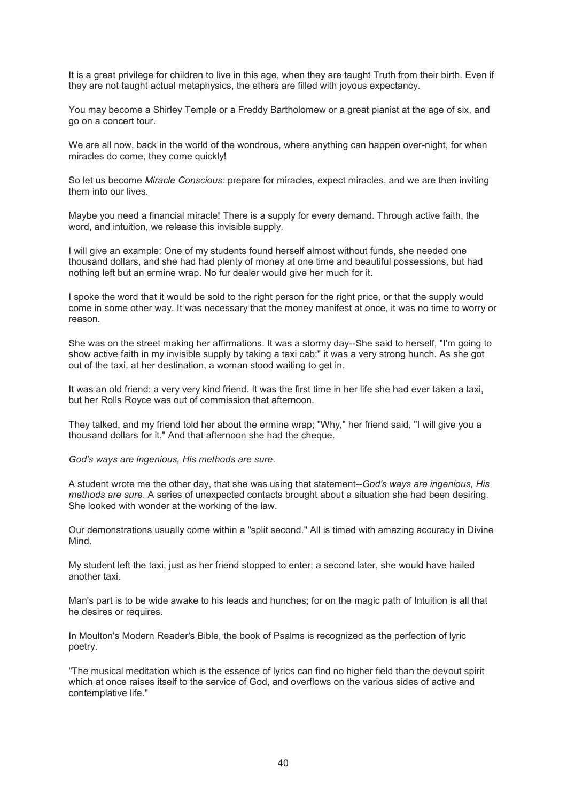It is a great privilege for children to live in this age, when they are taught Truth from their birth. Even if they are not taught actual metaphysics, the ethers are filled with joyous expectancy.

You may become a Shirley Temple or a Freddy Bartholomew or a great pianist at the age of six, and go on a concert tour.

We are all now, back in the world of the wondrous, where anything can happen over-night, for when miracles do come, they come quickly!

So let us become *Miracle Conscious:* prepare for miracles, expect miracles, and we are then inviting them into our lives.

Maybe you need a financial miracle! There is a supply for every demand. Through active faith, the word, and intuition, we release this invisible supply.

I will give an example: One of my students found herself almost without funds, she needed one thousand dollars, and she had had plenty of money at one time and beautiful possessions, but had nothing left but an ermine wrap. No fur dealer would give her much for it.

I spoke the word that it would be sold to the right person for the right price, or that the supply would come in some other way. It was necessary that the money manifest at once, it was no time to worry or reason.

She was on the street making her affirmations. It was a stormy day--She said to herself, "I'm going to show active faith in my invisible supply by taking a taxi cab:" it was a very strong hunch. As she got out of the taxi, at her destination, a woman stood waiting to get in.

It was an old friend: a very very kind friend. It was the first time in her life she had ever taken a taxi, but her Rolls Royce was out of commission that afternoon.

They talked, and my friend told her about the ermine wrap; "Why," her friend said, "I will give you a thousand dollars for it." And that afternoon she had the cheque.

*God's ways are ingenious, His methods are sure*.

A student wrote me the other day, that she was using that statement--*God's ways are ingenious, His methods are sure*. A series of unexpected contacts brought about a situation she had been desiring. She looked with wonder at the working of the law.

Our demonstrations usually come within a "split second." All is timed with amazing accuracy in Divine Mind.

My student left the taxi, just as her friend stopped to enter; a second later, she would have hailed another taxi.

Man's part is to be wide awake to his leads and hunches; for on the magic path of Intuition is all that he desires or requires.

In Moulton's Modern Reader's Bible, the book of Psalms is recognized as the perfection of lyric poetry.

"The musical meditation which is the essence of lyrics can find no higher field than the devout spirit which at once raises itself to the service of God, and overflows on the various sides of active and contemplative life."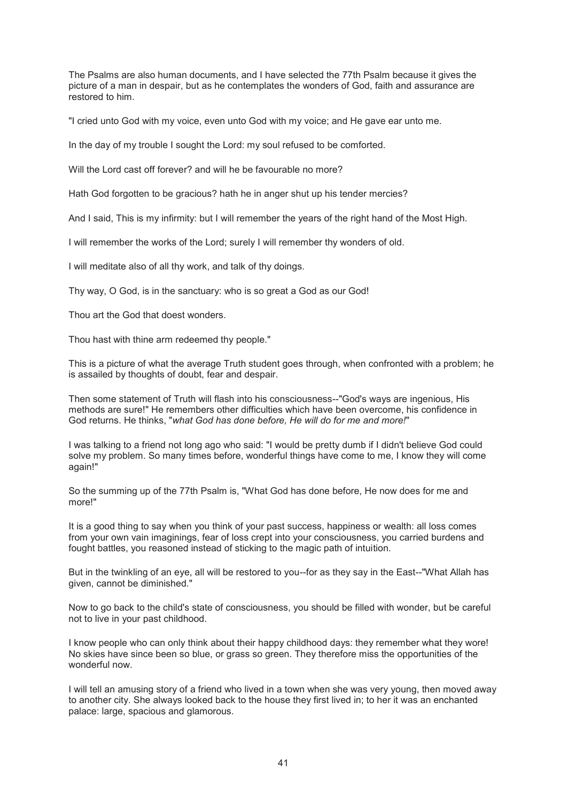The Psalms are also human documents, and I have selected the 77th Psalm because it gives the picture of a man in despair, but as he contemplates the wonders of God, faith and assurance are restored to him.

"I cried unto God with my voice, even unto God with my voice; and He gave ear unto me.

In the day of my trouble I sought the Lord: my soul refused to be comforted.

Will the Lord cast off forever? and will he be favourable no more?

Hath God forgotten to be gracious? hath he in anger shut up his tender mercies?

And I said, This is my infirmity: but I will remember the years of the right hand of the Most High.

I will remember the works of the Lord; surely I will remember thy wonders of old.

I will meditate also of all thy work, and talk of thy doings.

Thy way, O God, is in the sanctuary: who is so great a God as our God!

Thou art the God that doest wonders.

Thou hast with thine arm redeemed thy people."

This is a picture of what the average Truth student goes through, when confronted with a problem; he is assailed by thoughts of doubt, fear and despair.

Then some statement of Truth will flash into his consciousness--"God's ways are ingenious, His methods are sure!" He remembers other difficulties which have been overcome, his confidence in God returns. He thinks, "*what God has done before, He will do for me and more!*"

I was talking to a friend not long ago who said: "I would be pretty dumb if I didn't believe God could solve my problem. So many times before, wonderful things have come to me, I know they will come again!"

So the summing up of the 77th Psalm is, "What God has done before, He now does for me and more!"

It is a good thing to say when you think of your past success, happiness or wealth: all loss comes from your own vain imaginings, fear of loss crept into your consciousness, you carried burdens and fought battles, you reasoned instead of sticking to the magic path of intuition.

But in the twinkling of an eye, all will be restored to you--for as they say in the East--"What Allah has given, cannot be diminished."

Now to go back to the child's state of consciousness, you should be filled with wonder, but be careful not to live in your past childhood.

I know people who can only think about their happy childhood days: they remember what they wore! No skies have since been so blue, or grass so green. They therefore miss the opportunities of the wonderful now.

I will tell an amusing story of a friend who lived in a town when she was very young, then moved away to another city. She always looked back to the house they first lived in; to her it was an enchanted palace: large, spacious and glamorous.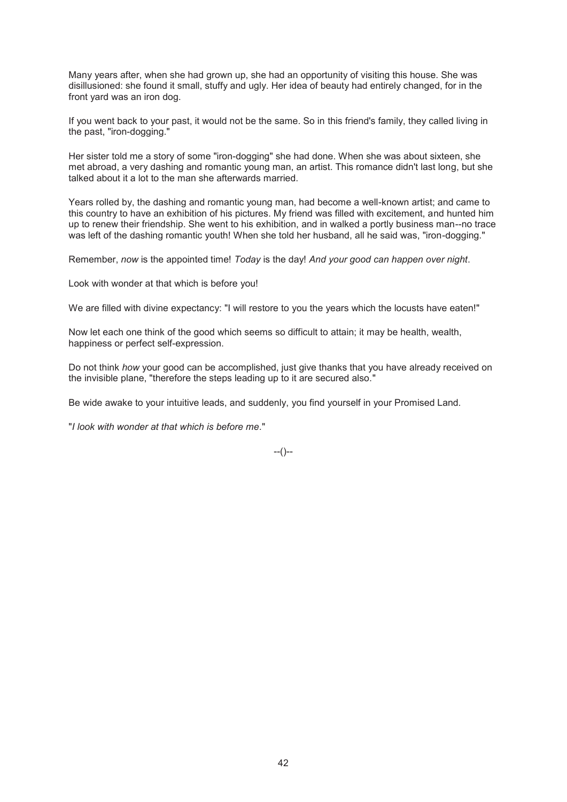Many years after, when she had grown up, she had an opportunity of visiting this house. She was disillusioned: she found it small, stuffy and ugly. Her idea of beauty had entirely changed, for in the front yard was an iron dog.

If you went back to your past, it would not be the same. So in this friend's family, they called living in the past, "iron-dogging."

Her sister told me a story of some "iron-dogging" she had done. When she was about sixteen, she met abroad, a very dashing and romantic young man, an artist. This romance didn't last long, but she talked about it a lot to the man she afterwards married.

Years rolled by, the dashing and romantic young man, had become a well-known artist; and came to this country to have an exhibition of his pictures. My friend was filled with excitement, and hunted him up to renew their friendship. She went to his exhibition, and in walked a portly business man--no trace was left of the dashing romantic youth! When she told her husband, all he said was, "iron-dogging."

Remember, *now* is the appointed time! *Today* is the day! *And your good can happen over night*.

Look with wonder at that which is before you!

We are filled with divine expectancy: "I will restore to you the years which the locusts have eaten!"

Now let each one think of the good which seems so difficult to attain; it may be health, wealth, happiness or perfect self-expression.

Do not think *how* your good can be accomplished, just give thanks that you have already received on the invisible plane, "therefore the steps leading up to it are secured also."

Be wide awake to your intuitive leads, and suddenly, you find yourself in your Promised Land.

"*I look with wonder at that which is before me*."

 $-(-)$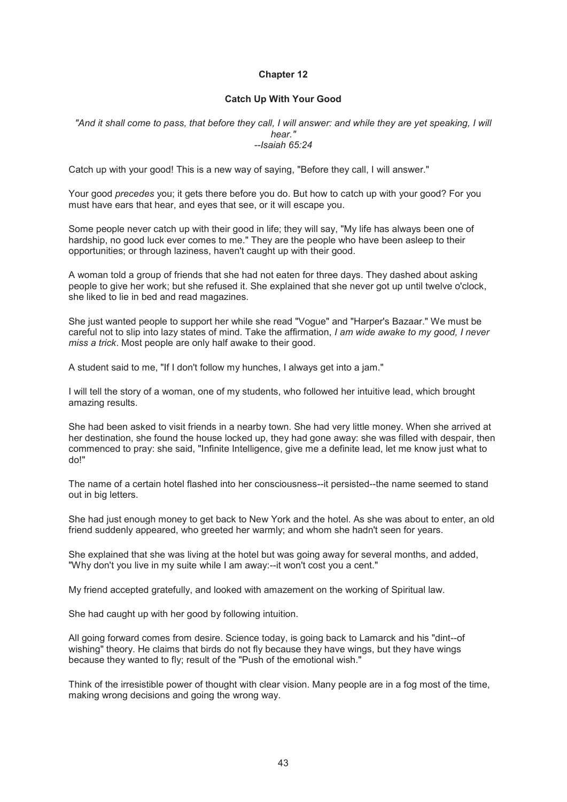#### **Catch Up With Your Good**

#### *"And it shall come to pass, that before they call, I will answer: and while they are yet speaking, I will hear." --Isaiah 65:24*

Catch up with your good! This is a new way of saying, "Before they call, I will answer."

Your good *precedes* you; it gets there before you do. But how to catch up with your good? For you must have ears that hear, and eyes that see, or it will escape you.

Some people never catch up with their good in life; they will say, "My life has always been one of hardship, no good luck ever comes to me." They are the people who have been asleep to their opportunities; or through laziness, haven't caught up with their good.

A woman told a group of friends that she had not eaten for three days. They dashed about asking people to give her work; but she refused it. She explained that she never got up until twelve o'clock, she liked to lie in bed and read magazines.

She just wanted people to support her while she read "Vogue" and "Harper's Bazaar." We must be careful not to slip into lazy states of mind. Take the affirmation, *I am wide awake to my good, I never miss a trick*. Most people are only half awake to their good.

A student said to me, "If I don't follow my hunches, I always get into a jam."

I will tell the story of a woman, one of my students, who followed her intuitive lead, which brought amazing results.

She had been asked to visit friends in a nearby town. She had very little money. When she arrived at her destination, she found the house locked up, they had gone away: she was filled with despair, then commenced to pray: she said, "Infinite Intelligence, give me a definite lead, let me know just what to do!"

The name of a certain hotel flashed into her consciousness--it persisted--the name seemed to stand out in big letters.

She had just enough money to get back to New York and the hotel. As she was about to enter, an old friend suddenly appeared, who greeted her warmly; and whom she hadn't seen for years.

She explained that she was living at the hotel but was going away for several months, and added, "Why don't you live in my suite while I am away:--it won't cost you a cent."

My friend accepted gratefully, and looked with amazement on the working of Spiritual law.

She had caught up with her good by following intuition.

All going forward comes from desire. Science today, is going back to Lamarck and his "dint--of wishing" theory. He claims that birds do not fly because they have wings, but they have wings because they wanted to fly; result of the "Push of the emotional wish."

Think of the irresistible power of thought with clear vision. Many people are in a fog most of the time, making wrong decisions and going the wrong way.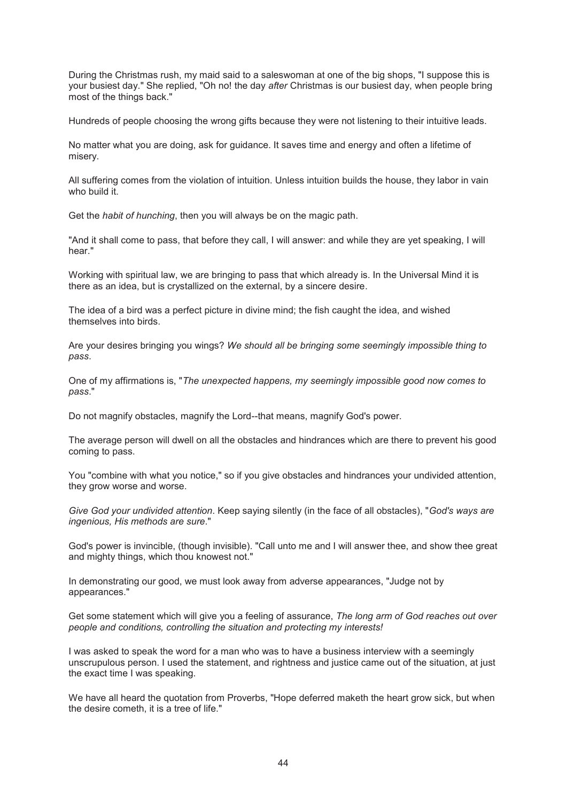During the Christmas rush, my maid said to a saleswoman at one of the big shops, "I suppose this is your busiest day." She replied, "Oh no! the day *after* Christmas is our busiest day, when people bring most of the things back."

Hundreds of people choosing the wrong gifts because they were not listening to their intuitive leads.

No matter what you are doing, ask for guidance. It saves time and energy and often a lifetime of misery.

All suffering comes from the violation of intuition. Unless intuition builds the house, they labor in vain who build it.

Get the *habit of hunching*, then you will always be on the magic path.

"And it shall come to pass, that before they call, I will answer: and while they are yet speaking, I will hear."

Working with spiritual law, we are bringing to pass that which already is. In the Universal Mind it is there as an idea, but is crystallized on the external, by a sincere desire.

The idea of a bird was a perfect picture in divine mind; the fish caught the idea, and wished themselves into birds.

Are your desires bringing you wings? *We should all be bringing some seemingly impossible thing to pass*.

One of my affirmations is, "*The unexpected happens, my seemingly impossible good now comes to pass*."

Do not magnify obstacles, magnify the Lord--that means, magnify God's power.

The average person will dwell on all the obstacles and hindrances which are there to prevent his good coming to pass.

You "combine with what you notice," so if you give obstacles and hindrances your undivided attention, they grow worse and worse.

*Give God your undivided attention*. Keep saying silently (in the face of all obstacles), "*God's ways are ingenious, His methods are sure*."

God's power is invincible, (though invisible). "Call unto me and I will answer thee, and show thee great and mighty things, which thou knowest not."

In demonstrating our good, we must look away from adverse appearances, "Judge not by appearances."

Get some statement which will give you a feeling of assurance, *The long arm of God reaches out over people and conditions, controlling the situation and protecting my interests!*

I was asked to speak the word for a man who was to have a business interview with a seemingly unscrupulous person. I used the statement, and rightness and justice came out of the situation, at just the exact time I was speaking.

We have all heard the quotation from Proverbs, "Hope deferred maketh the heart grow sick, but when the desire cometh, it is a tree of life."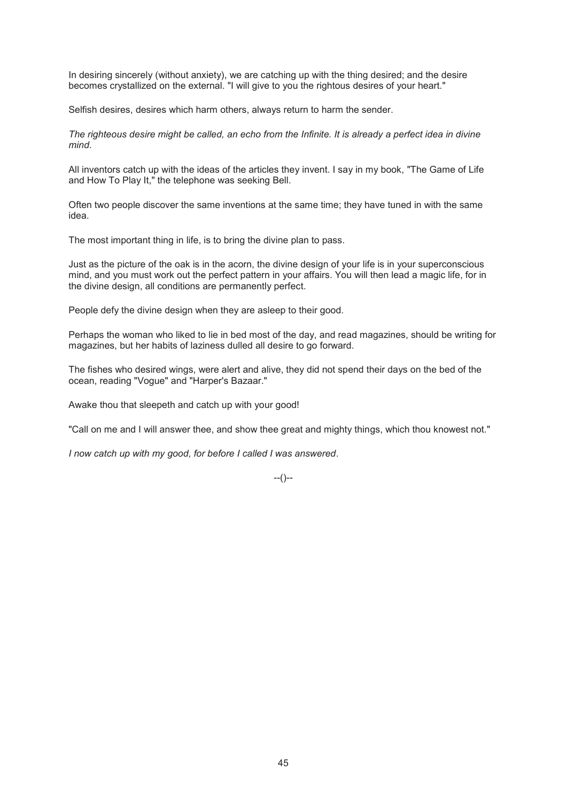In desiring sincerely (without anxiety), we are catching up with the thing desired; and the desire becomes crystallized on the external. "I will give to you the rightous desires of your heart."

Selfish desires, desires which harm others, always return to harm the sender.

*The righteous desire might be called, an echo from the Infinite. It is already a perfect idea in divine mind*.

All inventors catch up with the ideas of the articles they invent. I say in my book, "The Game of Life and How To Play It," the telephone was seeking Bell.

Often two people discover the same inventions at the same time; they have tuned in with the same idea.

The most important thing in life, is to bring the divine plan to pass.

Just as the picture of the oak is in the acorn, the divine design of your life is in your superconscious mind, and you must work out the perfect pattern in your affairs. You will then lead a magic life, for in the divine design, all conditions are permanently perfect.

People defy the divine design when they are asleep to their good.

Perhaps the woman who liked to lie in bed most of the day, and read magazines, should be writing for magazines, but her habits of laziness dulled all desire to go forward.

The fishes who desired wings, were alert and alive, they did not spend their days on the bed of the ocean, reading "Vogue" and "Harper's Bazaar."

Awake thou that sleepeth and catch up with your good!

"Call on me and I will answer thee, and show thee great and mighty things, which thou knowest not."

*I now catch up with my good, for before I called I was answered*.

 $-(-)$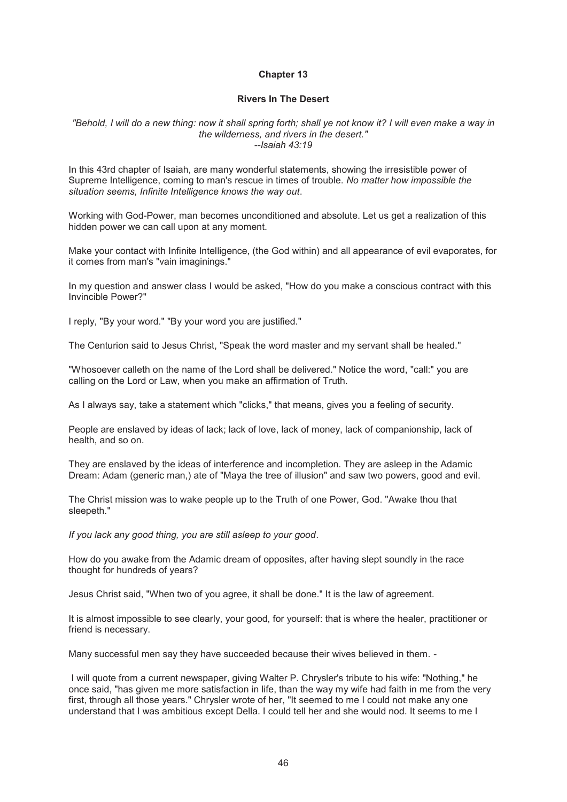#### **Rivers In The Desert**

#### *"Behold, I will do a new thing: now it shall spring forth; shall ye not know it? I will even make a way in the wilderness, and rivers in the desert." --Isaiah 43:19*

In this 43rd chapter of Isaiah, are many wonderful statements, showing the irresistible power of Supreme Intelligence, coming to man's rescue in times of trouble. *No matter how impossible the situation seems, Infinite Intelligence knows the way out*.

Working with God-Power, man becomes unconditioned and absolute. Let us get a realization of this hidden power we can call upon at any moment.

Make your contact with Infinite Intelligence, (the God within) and all appearance of evil evaporates, for it comes from man's "vain imaginings."

In my question and answer class I would be asked, "How do you make a conscious contract with this Invincible Power?"

I reply, "By your word." "By your word you are justified."

The Centurion said to Jesus Christ, "Speak the word master and my servant shall be healed."

"Whosoever calleth on the name of the Lord shall be delivered." Notice the word, "call:" you are calling on the Lord or Law, when you make an affirmation of Truth.

As I always say, take a statement which "clicks," that means, gives you a feeling of security.

People are enslaved by ideas of lack; lack of love, lack of money, lack of companionship, lack of health, and so on.

They are enslaved by the ideas of interference and incompletion. They are asleep in the Adamic Dream: Adam (generic man,) ate of "Maya the tree of illusion" and saw two powers, good and evil.

The Christ mission was to wake people up to the Truth of one Power, God. "Awake thou that sleepeth."

*If you lack any good thing, you are still asleep to your good*.

How do you awake from the Adamic dream of opposites, after having slept soundly in the race thought for hundreds of years?

Jesus Christ said, "When two of you agree, it shall be done." It is the law of agreement.

It is almost impossible to see clearly, your good, for yourself: that is where the healer, practitioner or friend is necessary.

Many successful men say they have succeeded because their wives believed in them. -

 I will quote from a current newspaper, giving Walter P. Chrysler's tribute to his wife: "Nothing," he once said, "has given me more satisfaction in life, than the way my wife had faith in me from the very first, through all those years." Chrysler wrote of her, "It seemed to me I could not make any one understand that I was ambitious except Della. I could tell her and she would nod. It seems to me I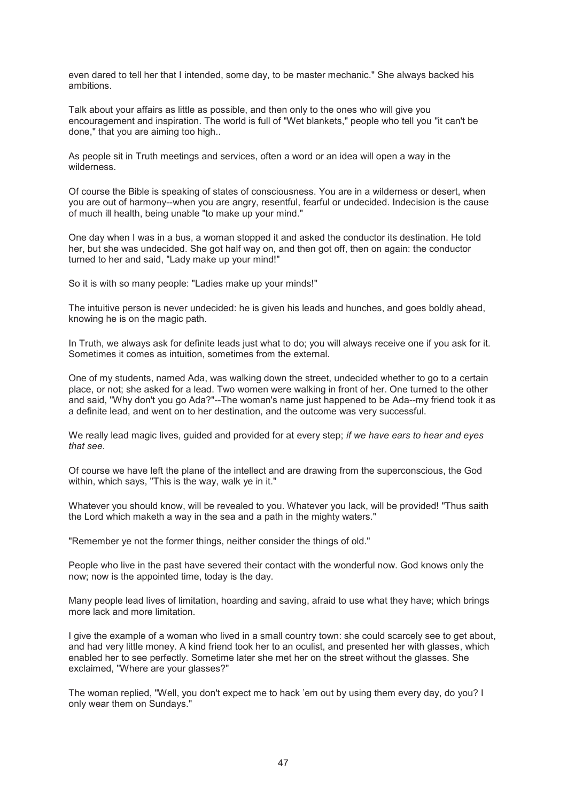even dared to tell her that I intended, some day, to be master mechanic." She always backed his ambitions.

Talk about your affairs as little as possible, and then only to the ones who will give you encouragement and inspiration. The world is full of "Wet blankets," people who tell you "it can't be done," that you are aiming too high..

As people sit in Truth meetings and services, often a word or an idea will open a way in the wilderness.

Of course the Bible is speaking of states of consciousness. You are in a wilderness or desert, when you are out of harmony--when you are angry, resentful, fearful or undecided. Indecision is the cause of much ill health, being unable "to make up your mind."

One day when I was in a bus, a woman stopped it and asked the conductor its destination. He told her, but she was undecided. She got half way on, and then got off, then on again: the conductor turned to her and said, "Lady make up your mind!"

So it is with so many people: "Ladies make up your minds!"

The intuitive person is never undecided: he is given his leads and hunches, and goes boldly ahead, knowing he is on the magic path.

In Truth, we always ask for definite leads just what to do; you will always receive one if you ask for it. Sometimes it comes as intuition, sometimes from the external.

One of my students, named Ada, was walking down the street, undecided whether to go to a certain place, or not; she asked for a lead. Two women were walking in front of her. One turned to the other and said, "Why don't you go Ada?"--The woman's name just happened to be Ada--my friend took it as a definite lead, and went on to her destination, and the outcome was very successful.

We really lead magic lives, guided and provided for at every step; *if we have ears to hear and eyes that see*.

Of course we have left the plane of the intellect and are drawing from the superconscious, the God within, which says, "This is the way, walk ye in it."

Whatever you should know, will be revealed to you. Whatever you lack, will be provided! "Thus saith the Lord which maketh a way in the sea and a path in the mighty waters."

"Remember ye not the former things, neither consider the things of old."

People who live in the past have severed their contact with the wonderful now. God knows only the now; now is the appointed time, today is the day.

Many people lead lives of limitation, hoarding and saving, afraid to use what they have; which brings more lack and more limitation.

I give the example of a woman who lived in a small country town: she could scarcely see to get about, and had very little money. A kind friend took her to an oculist, and presented her with glasses, which enabled her to see perfectly. Sometime later she met her on the street without the glasses. She exclaimed, "Where are your glasses?"

The woman replied, "Well, you don't expect me to hack 'em out by using them every day, do you? I only wear them on Sundays."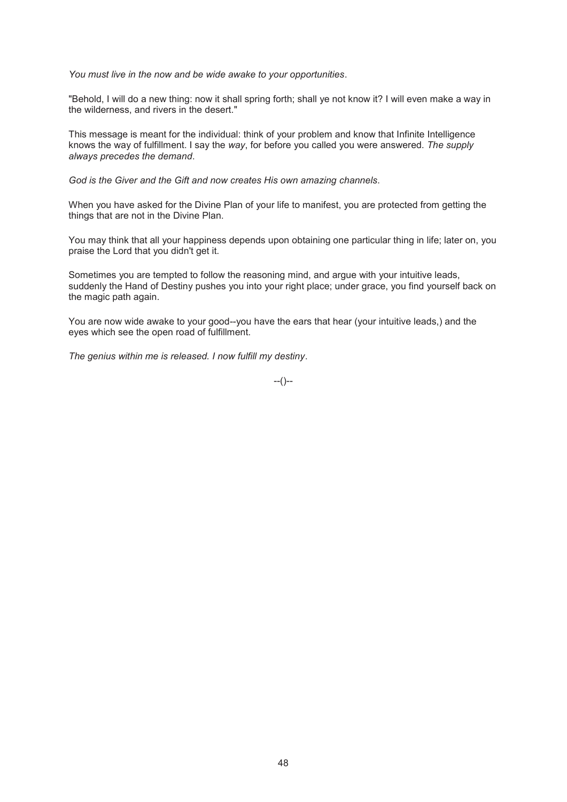*You must live in the now and be wide awake to your opportunities*.

"Behold, I will do a new thing: now it shall spring forth; shall ye not know it? I will even make a way in the wilderness, and rivers in the desert."

This message is meant for the individual: think of your problem and know that Infinite Intelligence knows the way of fulfillment. I say the *way*, for before you called you were answered. *The supply always precedes the demand*.

*God is the Giver and the Gift and now creates His own amazing channels*.

When you have asked for the Divine Plan of your life to manifest, you are protected from getting the things that are not in the Divine Plan.

You may think that all your happiness depends upon obtaining one particular thing in life; later on, you praise the Lord that you didn't get it.

Sometimes you are tempted to follow the reasoning mind, and argue with your intuitive leads, suddenly the Hand of Destiny pushes you into your right place; under grace, you find yourself back on the magic path again.

You are now wide awake to your good--you have the ears that hear (your intuitive leads,) and the eyes which see the open road of fulfillment.

*The genius within me is released. I now fulfill my destiny*.

--()--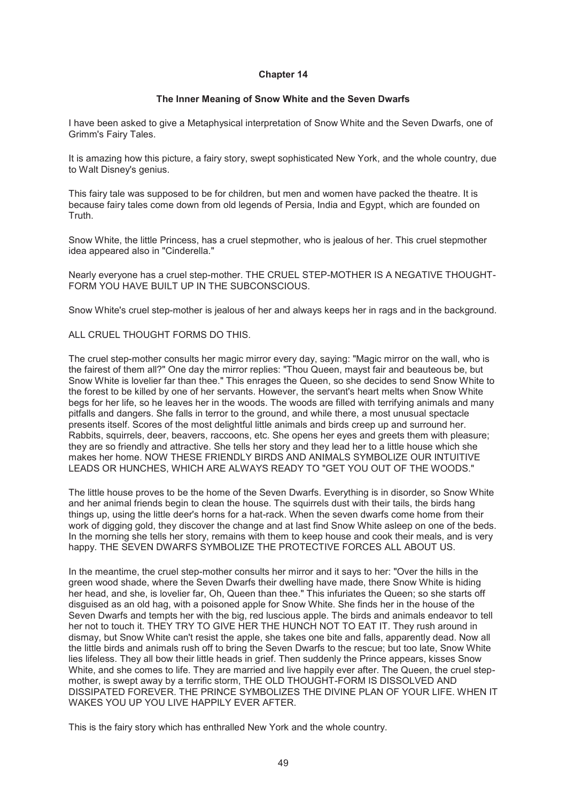#### **The Inner Meaning of Snow White and the Seven Dwarfs**

I have been asked to give a Metaphysical interpretation of Snow White and the Seven Dwarfs, one of Grimm's Fairy Tales.

It is amazing how this picture, a fairy story, swept sophisticated New York, and the whole country, due to Walt Disney's genius.

This fairy tale was supposed to be for children, but men and women have packed the theatre. It is because fairy tales come down from old legends of Persia, India and Egypt, which are founded on Truth.

Snow White, the little Princess, has a cruel stepmother, who is jealous of her. This cruel stepmother idea appeared also in "Cinderella."

Nearly everyone has a cruel step-mother. THE CRUEL STEP-MOTHER IS A NEGATIVE THOUGHT-FORM YOU HAVE BUILT UP IN THE SUBCONSCIOUS.

Snow White's cruel step-mother is jealous of her and always keeps her in rags and in the background.

#### ALL CRUEL THOUGHT FORMS DO THIS.

The cruel step-mother consults her magic mirror every day, saying: "Magic mirror on the wall, who is the fairest of them all?" One day the mirror replies: "Thou Queen, mayst fair and beauteous be, but Snow White is lovelier far than thee." This enrages the Queen, so she decides to send Snow White to the forest to be killed by one of her servants. However, the servant's heart melts when Snow White begs for her life, so he leaves her in the woods. The woods are filled with terrifying animals and many pitfalls and dangers. She falls in terror to the ground, and while there, a most unusual spectacle presents itself. Scores of the most delightful little animals and birds creep up and surround her. Rabbits, squirrels, deer, beavers, raccoons, etc. She opens her eyes and greets them with pleasure; they are so friendly and attractive. She tells her story and they lead her to a little house which she makes her home. NOW THESE FRIENDLY BIRDS AND ANIMALS SYMBOLIZE OUR INTUITIVE LEADS OR HUNCHES, WHICH ARE ALWAYS READY TO "GET YOU OUT OF THE WOODS."

The little house proves to be the home of the Seven Dwarfs. Everything is in disorder, so Snow White and her animal friends begin to clean the house. The squirrels dust with their tails, the birds hang things up, using the little deer's horns for a hat-rack. When the seven dwarfs come home from their work of digging gold, they discover the change and at last find Snow White asleep on one of the beds. In the morning she tells her story, remains with them to keep house and cook their meals, and is very happy. THE SEVEN DWARFS SYMBOLIZE THE PROTECTIVE FORCES ALL ABOUT US.

In the meantime, the cruel step-mother consults her mirror and it says to her: "Over the hills in the green wood shade, where the Seven Dwarfs their dwelling have made, there Snow White is hiding her head, and she, is lovelier far, Oh, Queen than thee." This infuriates the Queen; so she starts off disguised as an old hag, with a poisoned apple for Snow White. She finds her in the house of the Seven Dwarfs and tempts her with the big, red luscious apple. The birds and animals endeavor to tell her not to touch it. THEY TRY TO GIVE HER THE HUNCH NOT TO EAT IT. They rush around in dismay, but Snow White can't resist the apple, she takes one bite and falls, apparently dead. Now all the little birds and animals rush off to bring the Seven Dwarfs to the rescue; but too late, Snow White lies lifeless. They all bow their little heads in grief. Then suddenly the Prince appears, kisses Snow White, and she comes to life. They are married and live happily ever after. The Queen, the cruel stepmother, is swept away by a terrific storm, THE OLD THOUGHT-FORM IS DISSOLVED AND DISSIPATED FOREVER. THE PRINCE SYMBOLIZES THE DIVINE PLAN OF YOUR LIFE. WHEN IT WAKES YOU UP YOU LIVE HAPPILY EVER AFTER.

This is the fairy story which has enthralled New York and the whole country.